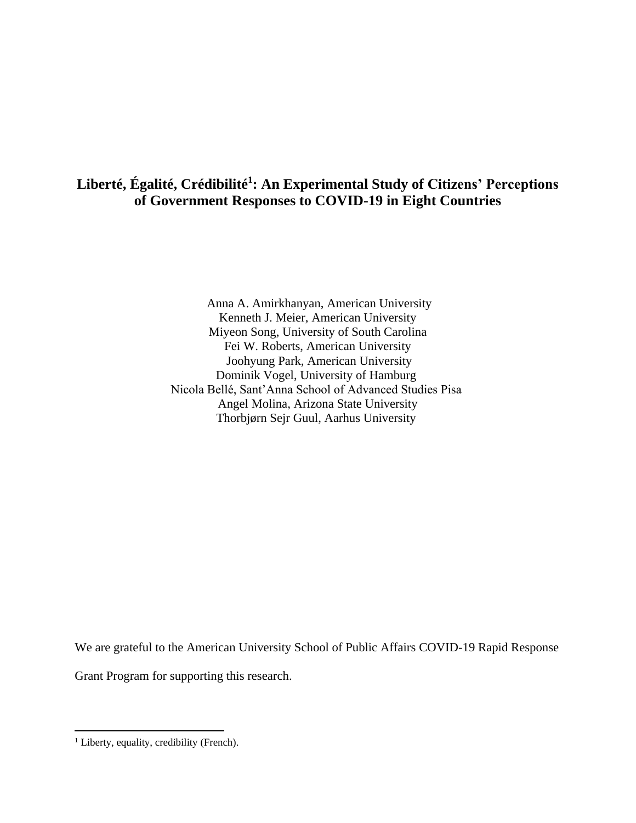## **Liberté, Égalité, Crédibilité<sup>1</sup> : An Experimental Study of Citizens' Perceptions of Government Responses to COVID-19 in Eight Countries**

Anna A. Amirkhanyan, American University Kenneth J. Meier, American University Miyeon Song, University of South Carolina Fei W. Roberts, American University Joohyung Park, American University Dominik Vogel, University of Hamburg Nicola Bellé, Sant'Anna School of Advanced Studies Pisa Angel Molina, Arizona State University Thorbjørn Sejr Guul, Aarhus University

We are grateful to the American University School of Public Affairs COVID-19 Rapid Response

Grant Program for supporting this research.

<sup>&</sup>lt;sup>1</sup> Liberty, equality, credibility (French).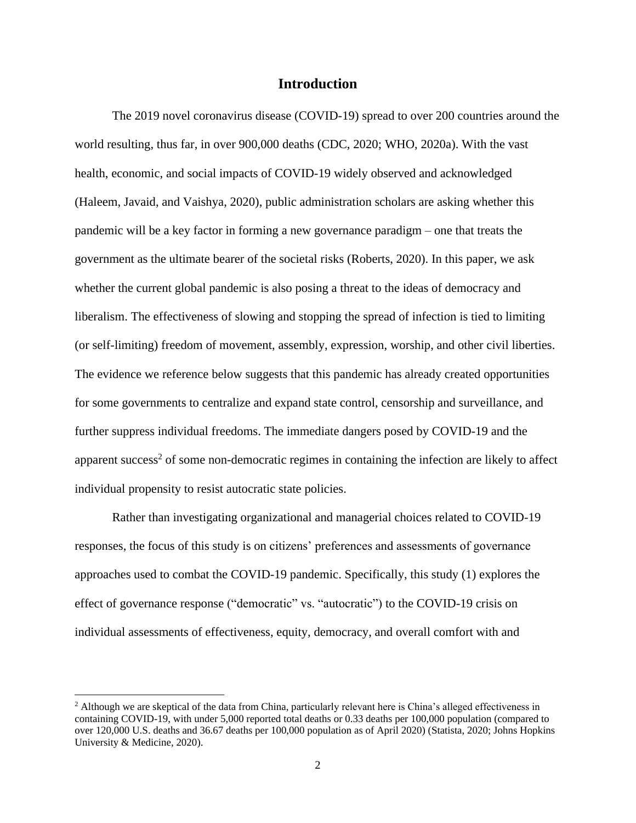## **Introduction**

The 2019 novel coronavirus disease (COVID-19) spread to over 200 countries around the world resulting, thus far, in over 900,000 deaths (CDC, 2020; WHO, 2020a). With the vast health, economic, and social impacts of COVID-19 widely observed and acknowledged (Haleem, Javaid, and Vaishya, 2020), public administration scholars are asking whether this pandemic will be a key factor in forming a new governance paradigm – one that treats the government as the ultimate bearer of the societal risks (Roberts, 2020). In this paper, we ask whether the current global pandemic is also posing a threat to the ideas of democracy and liberalism. The effectiveness of slowing and stopping the spread of infection is tied to limiting (or self-limiting) freedom of movement, assembly, expression, worship, and other civil liberties. The evidence we reference below suggests that this pandemic has already created opportunities for some governments to centralize and expand state control, censorship and surveillance, and further suppress individual freedoms. The immediate dangers posed by COVID-19 and the apparent success<sup>2</sup> of some non-democratic regimes in containing the infection are likely to affect individual propensity to resist autocratic state policies.

Rather than investigating organizational and managerial choices related to COVID-19 responses, the focus of this study is on citizens' preferences and assessments of governance approaches used to combat the COVID-19 pandemic. Specifically, this study (1) explores the effect of governance response ("democratic" vs. "autocratic") to the COVID-19 crisis on individual assessments of effectiveness, equity, democracy, and overall comfort with and

<sup>&</sup>lt;sup>2</sup> Although we are skeptical of the data from China, particularly relevant here is China's alleged effectiveness in containing COVID-19, with under 5,000 reported total deaths or 0.33 deaths per 100,000 population (compared to over 120,000 U.S. deaths and 36.67 deaths per 100,000 population as of April 2020) (Statista, 2020; Johns Hopkins University & Medicine, 2020).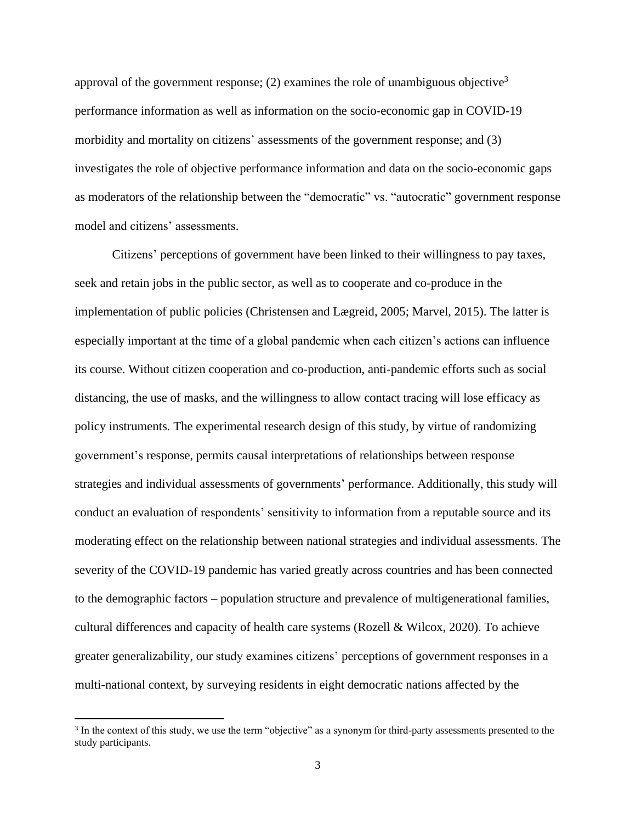approval of the government response; (2) examines the role of unambiguous objective<sup>3</sup> performance information as well as information on the socio-economic gap in COVID-19 morbidity and mortality on citizens' assessments of the government response; and (3) investigates the role of objective performance information and data on the socio-economic gaps as moderators of the relationship between the "democratic" vs. "autocratic" government response model and citizens' assessments.

Citizens' perceptions of government have been linked to their willingness to pay taxes, seek and retain jobs in the public sector, as well as to cooperate and co-produce in the implementation of public policies (Christensen and Lægreid, 2005; Marvel, 2015). The latter is especially important at the time of a global pandemic when each citizen's actions can influence its course. Without citizen cooperation and co-production, anti-pandemic efforts such as social distancing, the use of masks, and the willingness to allow contact tracing will lose efficacy as policy instruments. The experimental research design of this study, by virtue of randomizing government's response, permits causal interpretations of relationships between response strategies and individual assessments of governments' performance. Additionally, this study will conduct an evaluation of respondents' sensitivity to information from a reputable source and its moderating effect on the relationship between national strategies and individual assessments. The severity of the COVID-19 pandemic has varied greatly across countries and has been connected to the demographic factors – population structure and prevalence of multigenerational families, cultural differences and capacity of health care systems (Rozell & Wilcox, 2020). To achieve greater generalizability, our study examines citizens' perceptions of government responses in a multi-national context, by surveying residents in eight democratic nations affected by the

<sup>&</sup>lt;sup>3</sup> In the context of this study, we use the term "objective" as a synonym for third-party assessments presented to the study participants.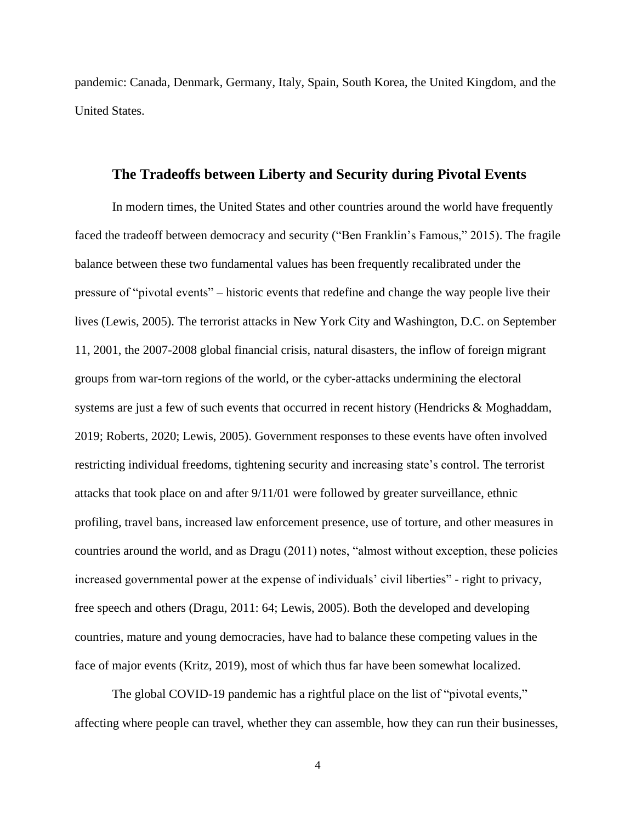pandemic: Canada, Denmark, Germany, Italy, Spain, South Korea, the United Kingdom, and the United States.

#### **The Tradeoffs between Liberty and Security during Pivotal Events**

In modern times, the United States and other countries around the world have frequently faced the tradeoff between democracy and security ("Ben Franklin's Famous," 2015). The fragile balance between these two fundamental values has been frequently recalibrated under the pressure of "pivotal events" – historic events that redefine and change the way people live their lives (Lewis, 2005). The terrorist attacks in New York City and Washington, D.C. on September 11, 2001, the 2007-2008 global financial crisis, natural disasters, the inflow of foreign migrant groups from war-torn regions of the world, or the cyber-attacks undermining the electoral systems are just a few of such events that occurred in recent history (Hendricks & Moghaddam, 2019; Roberts, 2020; Lewis, 2005). Government responses to these events have often involved restricting individual freedoms, tightening security and increasing state's control. The terrorist attacks that took place on and after 9/11/01 were followed by greater surveillance, ethnic profiling, travel bans, increased law enforcement presence, use of torture, and other measures in countries around the world, and as Dragu (2011) notes, "almost without exception, these policies increased governmental power at the expense of individuals' civil liberties" - right to privacy, free speech and others (Dragu, 2011: 64; Lewis, 2005). Both the developed and developing countries, mature and young democracies, have had to balance these competing values in the face of major events (Kritz, 2019), most of which thus far have been somewhat localized.

The global COVID-19 pandemic has a rightful place on the list of "pivotal events," affecting where people can travel, whether they can assemble, how they can run their businesses,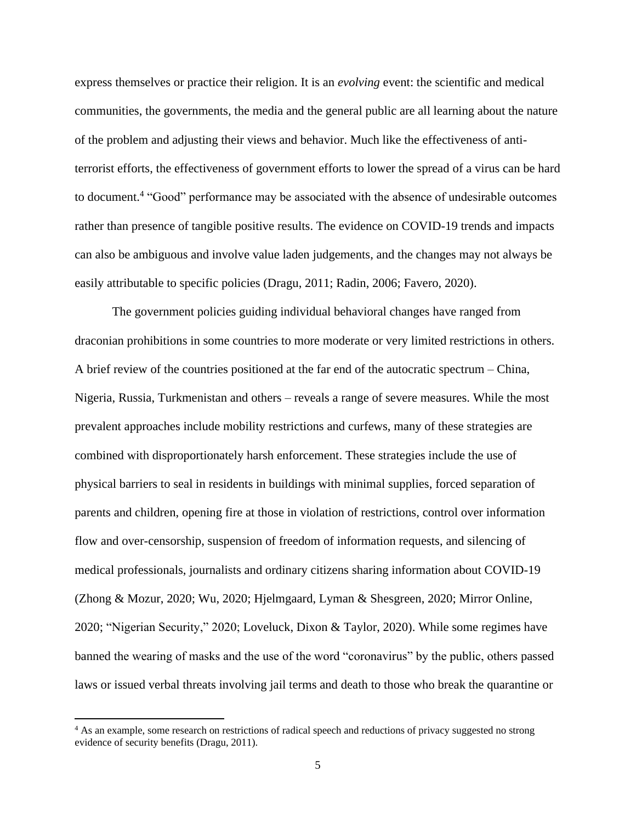express themselves or practice their religion. It is an *evolving* event: the scientific and medical communities, the governments, the media and the general public are all learning about the nature of the problem and adjusting their views and behavior. Much like the effectiveness of antiterrorist efforts, the effectiveness of government efforts to lower the spread of a virus can be hard to document.<sup>4</sup> "Good" performance may be associated with the absence of undesirable outcomes rather than presence of tangible positive results. The evidence on COVID-19 trends and impacts can also be ambiguous and involve value laden judgements, and the changes may not always be easily attributable to specific policies (Dragu, 2011; Radin, 2006; Favero, 2020).

The government policies guiding individual behavioral changes have ranged from draconian prohibitions in some countries to more moderate or very limited restrictions in others. A brief review of the countries positioned at the far end of the autocratic spectrum – China, Nigeria, Russia, Turkmenistan and others – reveals a range of severe measures. While the most prevalent approaches include mobility restrictions and curfews, many of these strategies are combined with disproportionately harsh enforcement. These strategies include the use of physical barriers to seal in residents in buildings with minimal supplies, forced separation of parents and children, opening fire at those in violation of restrictions, control over information flow and over-censorship, suspension of freedom of information requests, and silencing of medical professionals, journalists and ordinary citizens sharing information about COVID-19 (Zhong & Mozur, 2020; Wu, 2020; Hjelmgaard, Lyman & Shesgreen, 2020; Mirror Online, 2020; "Nigerian Security," 2020; Loveluck, Dixon & Taylor, 2020). While some regimes have banned the wearing of masks and the use of the word "coronavirus" by the public, others passed laws or issued verbal threats involving jail terms and death to those who break the quarantine or

<sup>4</sup> As an example, some research on restrictions of radical speech and reductions of privacy suggested no strong evidence of security benefits (Dragu, 2011).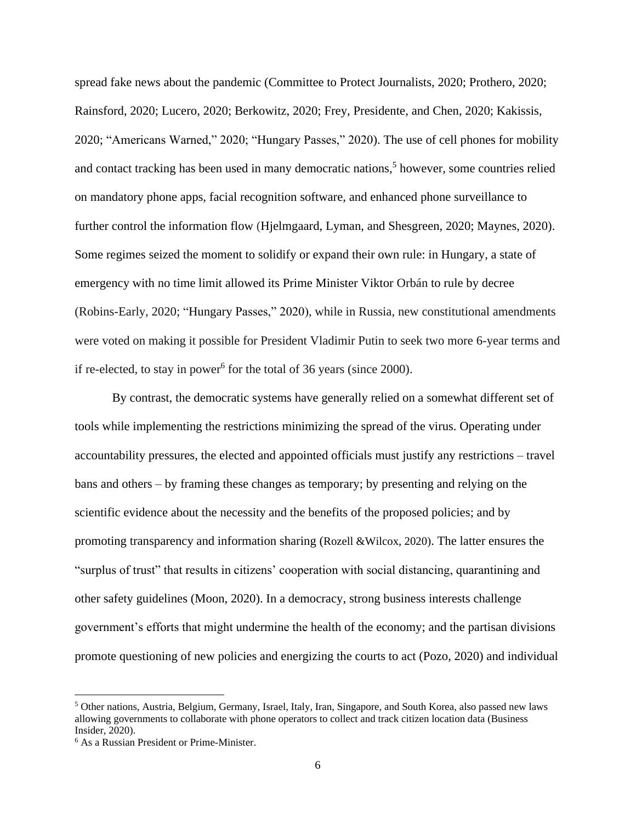spread fake news about the pandemic (Committee to Protect Journalists, 2020; Prothero, 2020; Rainsford, 2020; Lucero, 2020; Berkowitz, 2020; Frey, Presidente, and Chen, 2020; Kakissis, 2020; "Americans Warned," 2020; "Hungary Passes," 2020). The use of cell phones for mobility and contact tracking has been used in many democratic nations, <sup>5</sup> however, some countries relied on mandatory phone apps, facial recognition software, and enhanced phone surveillance to further control the information flow (Hjelmgaard, Lyman, and Shesgreen, 2020; Maynes, 2020). Some regimes seized the moment to solidify or expand their own rule: in Hungary, a state of emergency with no time limit allowed its Prime Minister Viktor Orbán to rule by decree (Robins-Early, 2020; "Hungary Passes," 2020), while in Russia, new constitutional amendments were voted on making it possible for President Vladimir Putin to seek two more 6-year terms and if re-elected, to stay in power<sup>6</sup> for the total of 36 years (since 2000).

By contrast, the democratic systems have generally relied on a somewhat different set of tools while implementing the restrictions minimizing the spread of the virus. Operating under accountability pressures, the elected and appointed officials must justify any restrictions – travel bans and others – by framing these changes as temporary; by presenting and relying on the scientific evidence about the necessity and the benefits of the proposed policies; and by promoting transparency and information sharing (Rozell &Wilcox, 2020). The latter ensures the "surplus of trust" that results in citizens' cooperation with social distancing, quarantining and other safety guidelines (Moon, 2020). In a democracy, strong business interests challenge government's efforts that might undermine the health of the economy; and the partisan divisions promote questioning of new policies and energizing the courts to act (Pozo, 2020) and individual

<sup>5</sup> Other nations, Austria, Belgium, Germany, Israel, Italy, Iran, Singapore, and South Korea, also passed new laws allowing governments to collaborate with phone operators to collect and track citizen location data (Business Insider, 2020).

<sup>6</sup> As a Russian President or Prime-Minister.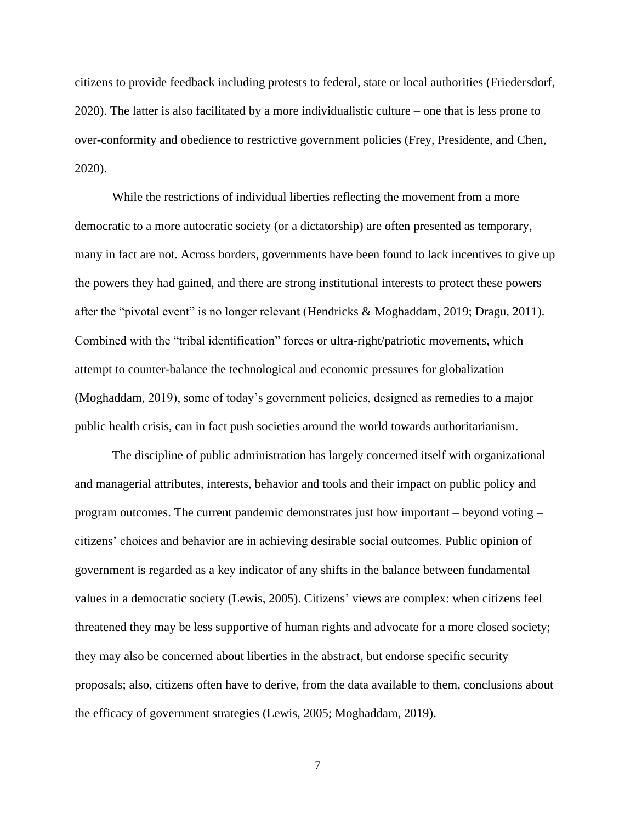citizens to provide feedback including protests to federal, state or local authorities (Friedersdorf, 2020). The latter is also facilitated by a more individualistic culture – one that is less prone to over-conformity and obedience to restrictive government policies (Frey, Presidente, and Chen, 2020).

While the restrictions of individual liberties reflecting the movement from a more democratic to a more autocratic society (or a dictatorship) are often presented as temporary, many in fact are not. Across borders, governments have been found to lack incentives to give up the powers they had gained, and there are strong institutional interests to protect these powers after the "pivotal event" is no longer relevant (Hendricks & Moghaddam, 2019; Dragu, 2011). Combined with the "tribal identification" forces or ultra-right/patriotic movements, which attempt to counter-balance the technological and economic pressures for globalization (Moghaddam, 2019), some of today's government policies, designed as remedies to a major public health crisis, can in fact push societies around the world towards authoritarianism.

The discipline of public administration has largely concerned itself with organizational and managerial attributes, interests, behavior and tools and their impact on public policy and program outcomes. The current pandemic demonstrates just how important – beyond voting – citizens' choices and behavior are in achieving desirable social outcomes. Public opinion of government is regarded as a key indicator of any shifts in the balance between fundamental values in a democratic society (Lewis, 2005). Citizens' views are complex: when citizens feel threatened they may be less supportive of human rights and advocate for a more closed society; they may also be concerned about liberties in the abstract, but endorse specific security proposals; also, citizens often have to derive, from the data available to them, conclusions about the efficacy of government strategies (Lewis, 2005; Moghaddam, 2019).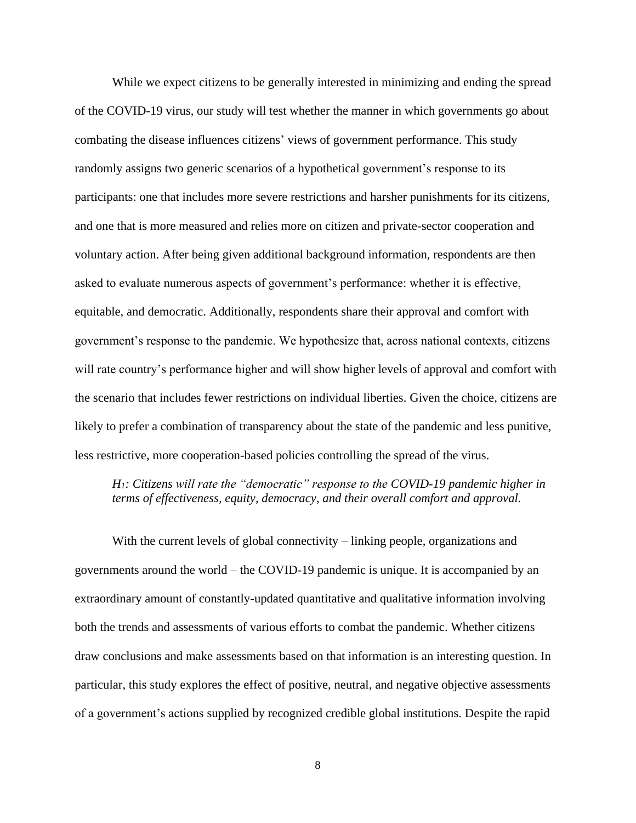While we expect citizens to be generally interested in minimizing and ending the spread of the COVID-19 virus, our study will test whether the manner in which governments go about combating the disease influences citizens' views of government performance. This study randomly assigns two generic scenarios of a hypothetical government's response to its participants: one that includes more severe restrictions and harsher punishments for its citizens, and one that is more measured and relies more on citizen and private-sector cooperation and voluntary action. After being given additional background information, respondents are then asked to evaluate numerous aspects of government's performance: whether it is effective, equitable, and democratic. Additionally, respondents share their approval and comfort with government's response to the pandemic. We hypothesize that, across national contexts, citizens will rate country's performance higher and will show higher levels of approval and comfort with the scenario that includes fewer restrictions on individual liberties. Given the choice, citizens are likely to prefer a combination of transparency about the state of the pandemic and less punitive, less restrictive, more cooperation-based policies controlling the spread of the virus.

*H1: Citizens will rate the "democratic" response to the COVID-19 pandemic higher in terms of effectiveness, equity, democracy, and their overall comfort and approval.*

With the current levels of global connectivity – linking people, organizations and governments around the world – the COVID-19 pandemic is unique. It is accompanied by an extraordinary amount of constantly-updated quantitative and qualitative information involving both the trends and assessments of various efforts to combat the pandemic. Whether citizens draw conclusions and make assessments based on that information is an interesting question. In particular, this study explores the effect of positive, neutral, and negative objective assessments of a government's actions supplied by recognized credible global institutions. Despite the rapid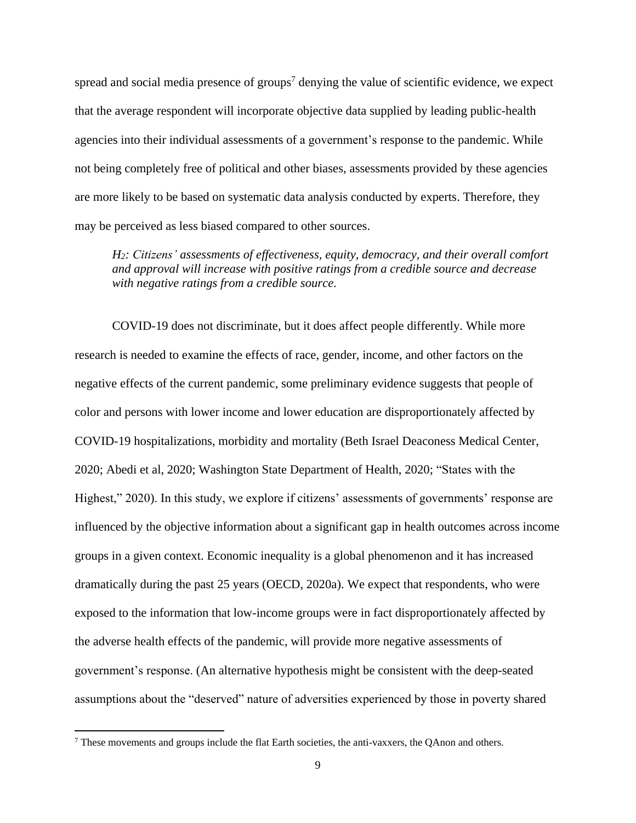spread and social media presence of groups<sup>7</sup> denying the value of scientific evidence, we expect that the average respondent will incorporate objective data supplied by leading public-health agencies into their individual assessments of a government's response to the pandemic. While not being completely free of political and other biases, assessments provided by these agencies are more likely to be based on systematic data analysis conducted by experts. Therefore, they may be perceived as less biased compared to other sources.

*H2: Citizens' assessments of effectiveness, equity, democracy, and their overall comfort and approval will increase with positive ratings from a credible source and decrease with negative ratings from a credible source.*

COVID-19 does not discriminate, but it does affect people differently. While more research is needed to examine the effects of race, gender, income, and other factors on the negative effects of the current pandemic, some preliminary evidence suggests that people of color and persons with lower income and lower education are disproportionately affected by COVID-19 hospitalizations, morbidity and mortality (Beth Israel Deaconess Medical Center, 2020; Abedi et al, 2020; Washington State Department of Health, 2020; "States with the Highest," 2020). In this study, we explore if citizens' assessments of governments' response are influenced by the objective information about a significant gap in health outcomes across income groups in a given context. Economic inequality is a global phenomenon and it has increased dramatically during the past 25 years (OECD, 2020a). We expect that respondents, who were exposed to the information that low-income groups were in fact disproportionately affected by the adverse health effects of the pandemic, will provide more negative assessments of government's response. (An alternative hypothesis might be consistent with the deep-seated assumptions about the "deserved" nature of adversities experienced by those in poverty shared

<sup>7</sup> These movements and groups include the flat Earth societies, the anti-vaxxers, the QAnon and others.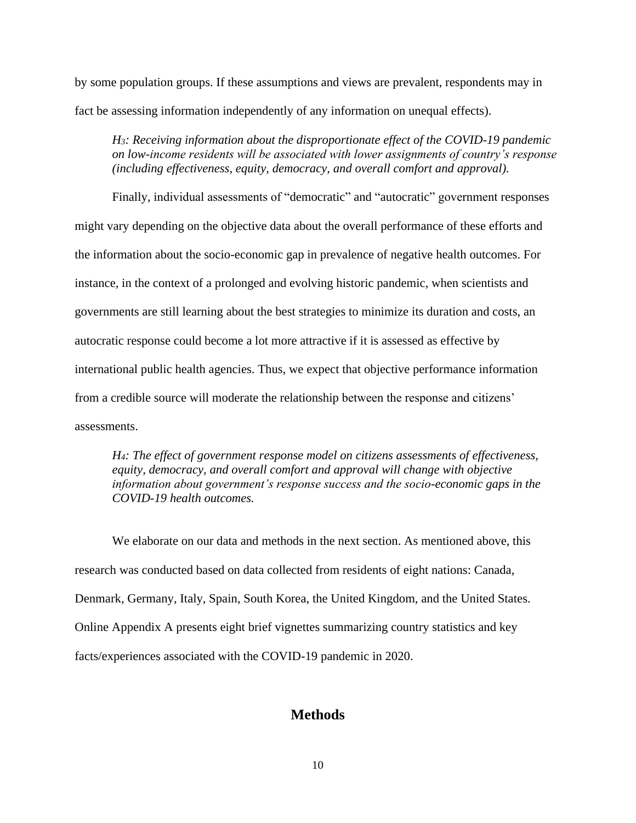by some population groups. If these assumptions and views are prevalent, respondents may in fact be assessing information independently of any information on unequal effects).

*H3: Receiving information about the disproportionate effect of the COVID-19 pandemic on low-income residents will be associated with lower assignments of country's response (including effectiveness, equity, democracy, and overall comfort and approval).* 

Finally, individual assessments of "democratic" and "autocratic" government responses might vary depending on the objective data about the overall performance of these efforts and the information about the socio-economic gap in prevalence of negative health outcomes. For instance, in the context of a prolonged and evolving historic pandemic, when scientists and governments are still learning about the best strategies to minimize its duration and costs, an autocratic response could become a lot more attractive if it is assessed as effective by international public health agencies. Thus, we expect that objective performance information from a credible source will moderate the relationship between the response and citizens' assessments.

*H4: The effect of government response model on citizens assessments of effectiveness, equity, democracy, and overall comfort and approval will change with objective information about government's response success and the socio-economic gaps in the COVID-19 health outcomes.*

We elaborate on our data and methods in the next section. As mentioned above, this research was conducted based on data collected from residents of eight nations: Canada, Denmark, Germany, Italy, Spain, South Korea, the United Kingdom, and the United States. Online Appendix A presents eight brief vignettes summarizing country statistics and key facts/experiences associated with the COVID-19 pandemic in 2020.

## **Methods**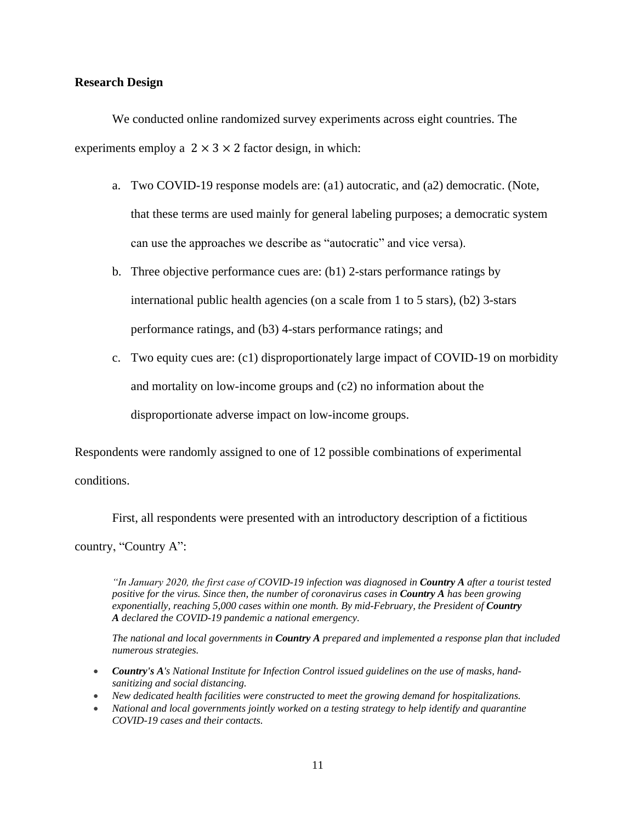#### **Research Design**

We conducted online randomized survey experiments across eight countries. The experiments employ a  $2 \times 3 \times 2$  factor design, in which:

- a. Two COVID-19 response models are: (a1) autocratic, and (a2) democratic. (Note, that these terms are used mainly for general labeling purposes; a democratic system can use the approaches we describe as "autocratic" and vice versa).
- b. Three objective performance cues are: (b1) 2-stars performance ratings by international public health agencies (on a scale from 1 to 5 stars), (b2) 3-stars performance ratings, and (b3) 4-stars performance ratings; and
- c. Two equity cues are: (c1) disproportionately large impact of COVID-19 on morbidity and mortality on low-income groups and (c2) no information about the disproportionate adverse impact on low-income groups.

Respondents were randomly assigned to one of 12 possible combinations of experimental

conditions.

First, all respondents were presented with an introductory description of a fictitious

country, "Country A":

*"In January 2020, the first case of COVID-19 infection was diagnosed in Country A after a tourist tested positive for the virus. Since then, the number of coronavirus cases in Country A has been growing exponentially, reaching 5,000 cases within one month. By mid-February, the President of Country A declared the COVID-19 pandemic a national emergency.*

*The national and local governments in Country A prepared and implemented a response plan that included numerous strategies.*

- *Country's A's National Institute for Infection Control issued guidelines on the use of masks, handsanitizing and social distancing.*
- *New dedicated health facilities were constructed to meet the growing demand for hospitalizations.*
- *National and local governments jointly worked on a testing strategy to help identify and quarantine COVID-19 cases and their contacts.*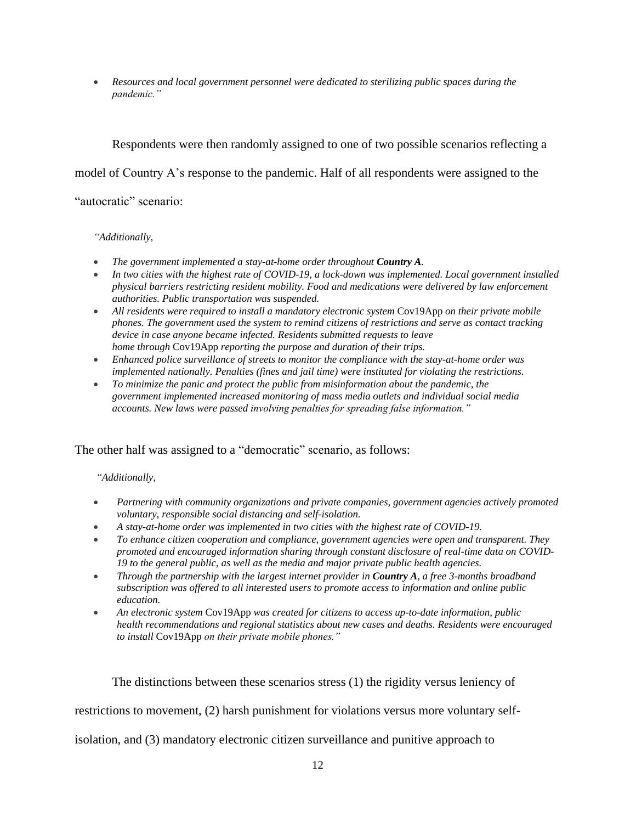• *Resources and local government personnel were dedicated to sterilizing public spaces during the pandemic."*

Respondents were then randomly assigned to one of two possible scenarios reflecting a

model of Country A's response to the pandemic. Half of all respondents were assigned to the

#### "autocratic" scenario:

#### *"Additionally,*

- *The government implemented a stay-at-home order throughout Country A.*
- *In two cities with the highest rate of COVID-19, a lock-down was implemented. Local government installed physical barriers restricting resident mobility. Food and medications were delivered by law enforcement authorities. Public transportation was suspended.*
- *All residents were required to install a mandatory electronic system* Cov19App *on their private mobile phones. The government used the system to remind citizens of restrictions and serve as contact tracking device in case anyone became infected. Residents submitted requests to leave home through* Cov19App *reporting the purpose and duration of their trips.*
- *Enhanced police surveillance of streets to monitor the compliance with the stay-at-home order was implemented nationally. Penalties (fines and jail time) were instituted for violating the restrictions.*
- *To minimize the panic and protect the public from misinformation about the pandemic, the government implemented increased monitoring of mass media outlets and individual social media accounts. New laws were passed involving penalties for spreading false information."*

## The other half was assigned to a "democratic" scenario, as follows:

#### *"Additionally,*

- *Partnering with community organizations and private companies, government agencies actively promoted voluntary, responsible social distancing and self-isolation.*
- *A stay-at-home order was implemented in two cities with the highest rate of COVID-19.*
- *To enhance citizen cooperation and compliance, government agencies were open and transparent. They promoted and encouraged information sharing through constant disclosure of real-time data on COVID-19 to the general public, as well as the media and major private public health agencies.*
- *Through the partnership with the largest internet provider in Country A, a free 3-months broadband subscription was offered to all interested users to promote access to information and online public education.*
- *An electronic system* Cov19App *was created for citizens to access up-to-date information, public health recommendations and regional statistics about new cases and deaths. Residents were encouraged to install* Cov19App *on their private mobile phones."*

The distinctions between these scenarios stress (1) the rigidity versus leniency of

restrictions to movement, (2) harsh punishment for violations versus more voluntary self-

isolation, and (3) mandatory electronic citizen surveillance and punitive approach to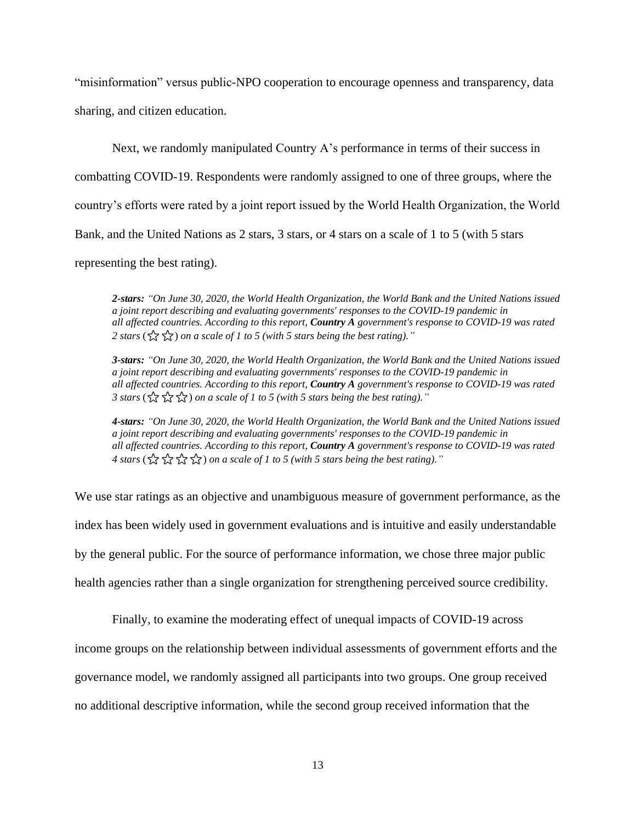"misinformation" versus public-NPO cooperation to encourage openness and transparency, data sharing, and citizen education.

Next, we randomly manipulated Country A's performance in terms of their success in combatting COVID-19. Respondents were randomly assigned to one of three groups, where the country's efforts were rated by a joint report issued by the World Health Organization, the World Bank, and the United Nations as 2 stars, 3 stars, or 4 stars on a scale of 1 to 5 (with 5 stars representing the best rating).

*2-stars: "On June 30, 2020, the World Health Organization, the World Bank and the United Nations issued a joint report describing and evaluating governments' responses to the COVID-19 pandemic in all affected countries. According to this report, Country A government's response to COVID-19 was rated 2 stars* ( $\frac{1}{2}$   $\frac{1}{2}$ ) *on a scale of 1 to 5 (with 5 stars being the best rating).*"

*3-stars: "On June 30, 2020, the World Health Organization, the World Bank and the United Nations issued a joint report describing and evaluating governments' responses to the COVID-19 pandemic in all affected countries. According to this report, Country A government's response to COVID-19 was rated 3 stars* ( $\frac{1}{2}$  $\frac{1}{2}$  $\frac{1}{2}$  $\frac{1}{2}$ ) *on a scale of 1 to 5 (with 5 stars being the best rating).*"

*4-stars: "On June 30, 2020, the World Health Organization, the World Bank and the United Nations issued a joint report describing and evaluating governments' responses to the COVID-19 pandemic in all affected countries. According to this report, Country A government's response to COVID-19 was rated 4 stars* ( $\frac{1}{2}$   $\frac{1}{2}$   $\frac{1}{2}$   $\frac{1}{2}$ ) *on a scale of 1 to 5 (with 5 stars being the best rating).*"

We use star ratings as an objective and unambiguous measure of government performance, as the index has been widely used in government evaluations and is intuitive and easily understandable by the general public. For the source of performance information, we chose three major public health agencies rather than a single organization for strengthening perceived source credibility.

Finally, to examine the moderating effect of unequal impacts of COVID-19 across

income groups on the relationship between individual assessments of government efforts and the

governance model, we randomly assigned all participants into two groups. One group received

no additional descriptive information, while the second group received information that the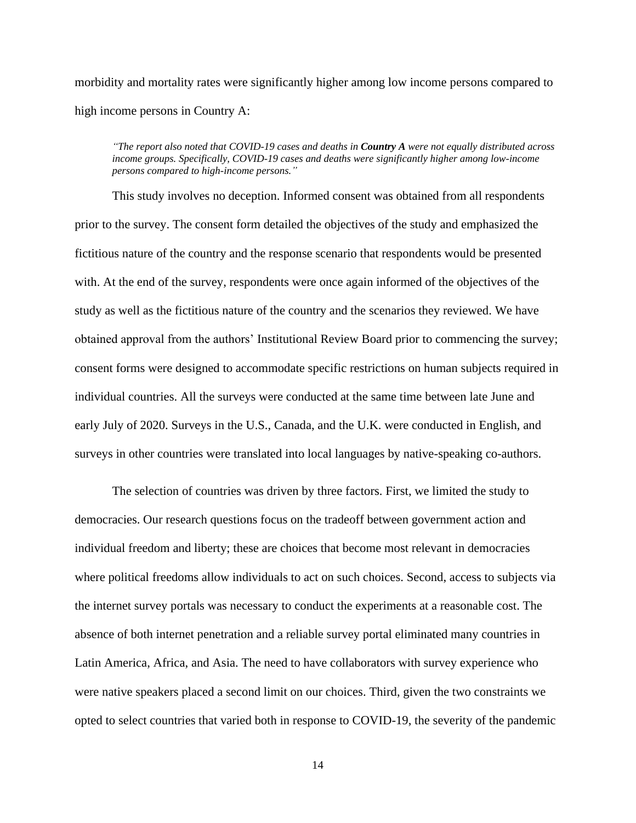morbidity and mortality rates were significantly higher among low income persons compared to high income persons in Country A:

*"The report also noted that COVID-19 cases and deaths in Country A were not equally distributed across income groups. Specifically, COVID-19 cases and deaths were significantly higher among low-income persons compared to high-income persons."*

This study involves no deception. Informed consent was obtained from all respondents prior to the survey. The consent form detailed the objectives of the study and emphasized the fictitious nature of the country and the response scenario that respondents would be presented with. At the end of the survey, respondents were once again informed of the objectives of the study as well as the fictitious nature of the country and the scenarios they reviewed. We have obtained approval from the authors' Institutional Review Board prior to commencing the survey; consent forms were designed to accommodate specific restrictions on human subjects required in individual countries. All the surveys were conducted at the same time between late June and early July of 2020. Surveys in the U.S., Canada, and the U.K. were conducted in English, and surveys in other countries were translated into local languages by native-speaking co-authors.

The selection of countries was driven by three factors. First, we limited the study to democracies. Our research questions focus on the tradeoff between government action and individual freedom and liberty; these are choices that become most relevant in democracies where political freedoms allow individuals to act on such choices. Second, access to subjects via the internet survey portals was necessary to conduct the experiments at a reasonable cost. The absence of both internet penetration and a reliable survey portal eliminated many countries in Latin America, Africa, and Asia. The need to have collaborators with survey experience who were native speakers placed a second limit on our choices. Third, given the two constraints we opted to select countries that varied both in response to COVID-19, the severity of the pandemic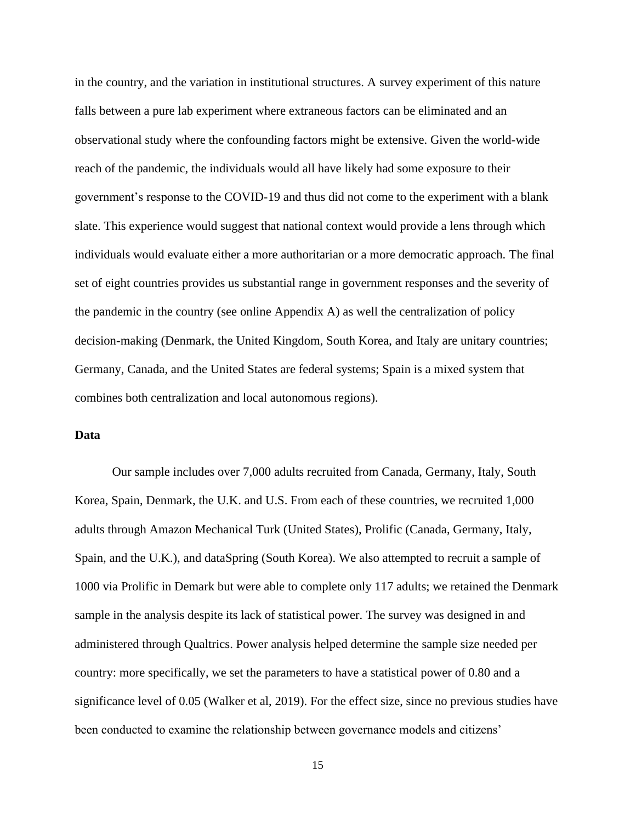in the country, and the variation in institutional structures. A survey experiment of this nature falls between a pure lab experiment where extraneous factors can be eliminated and an observational study where the confounding factors might be extensive. Given the world-wide reach of the pandemic, the individuals would all have likely had some exposure to their government's response to the COVID-19 and thus did not come to the experiment with a blank slate. This experience would suggest that national context would provide a lens through which individuals would evaluate either a more authoritarian or a more democratic approach. The final set of eight countries provides us substantial range in government responses and the severity of the pandemic in the country (see online Appendix A) as well the centralization of policy decision-making (Denmark, the United Kingdom, South Korea, and Italy are unitary countries; Germany, Canada, and the United States are federal systems; Spain is a mixed system that combines both centralization and local autonomous regions).

## **Data**

Our sample includes over 7,000 adults recruited from Canada, Germany, Italy, South Korea, Spain, Denmark, the U.K. and U.S. From each of these countries, we recruited 1,000 adults through Amazon Mechanical Turk (United States), Prolific (Canada, Germany, Italy, Spain, and the U.K.), and dataSpring (South Korea). We also attempted to recruit a sample of 1000 via Prolific in Demark but were able to complete only 117 adults; we retained the Denmark sample in the analysis despite its lack of statistical power. The survey was designed in and administered through Qualtrics. Power analysis helped determine the sample size needed per country: more specifically, we set the parameters to have a statistical power of 0.80 and a significance level of 0.05 (Walker et al, 2019). For the effect size, since no previous studies have been conducted to examine the relationship between governance models and citizens'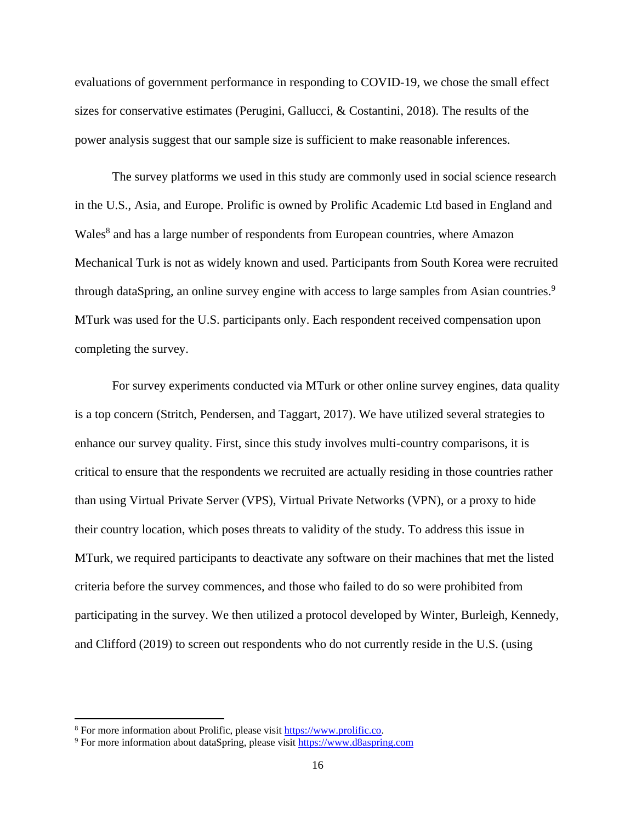evaluations of government performance in responding to COVID-19, we chose the small effect sizes for conservative estimates (Perugini, Gallucci, & Costantini, 2018). The results of the power analysis suggest that our sample size is sufficient to make reasonable inferences.

The survey platforms we used in this study are commonly used in social science research in the U.S., Asia, and Europe. Prolific is owned by Prolific Academic Ltd based in England and Wales<sup>8</sup> and has a large number of respondents from European countries, where Amazon Mechanical Turk is not as widely known and used. Participants from South Korea were recruited through dataSpring, an online survey engine with access to large samples from Asian countries.<sup>9</sup> MTurk was used for the U.S. participants only. Each respondent received compensation upon completing the survey.

For survey experiments conducted via MTurk or other online survey engines, data quality is a top concern (Stritch, Pendersen, and Taggart, 2017). We have utilized several strategies to enhance our survey quality. First, since this study involves multi-country comparisons, it is critical to ensure that the respondents we recruited are actually residing in those countries rather than using Virtual Private Server (VPS), Virtual Private Networks (VPN), or a proxy to hide their country location, which poses threats to validity of the study. To address this issue in MTurk, we required participants to deactivate any software on their machines that met the listed criteria before the survey commences, and those who failed to do so were prohibited from participating in the survey. We then utilized a protocol developed by Winter, Burleigh, Kennedy, and Clifford (2019) to screen out respondents who do not currently reside in the U.S. (using

<sup>8</sup> For more information about Prolific, please visit [https://www.prolific.co.](https://www.prolific.co/)

<sup>9</sup> For more information about dataSpring, please visit [https://www.d8aspring.com](https://www.d8aspring.com/)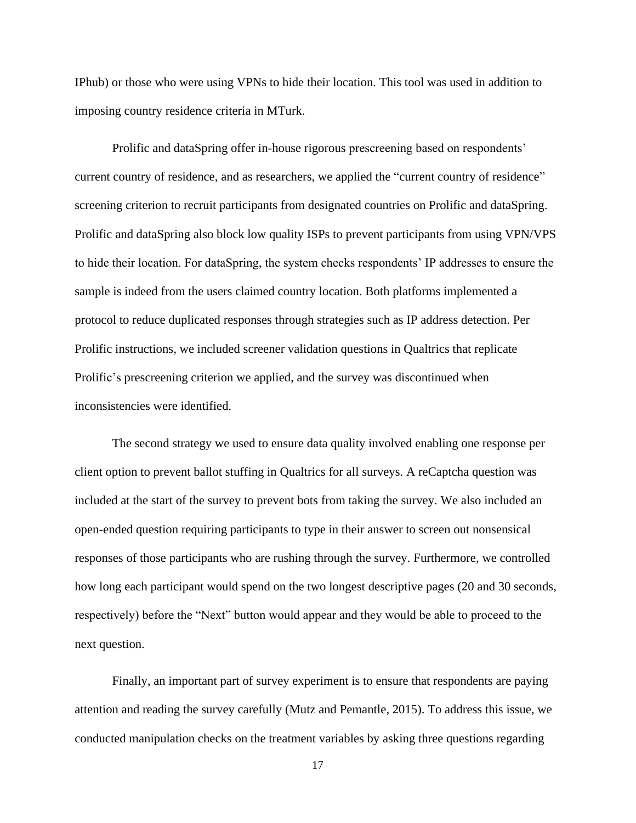IPhub) or those who were using VPNs to hide their location. This tool was used in addition to imposing country residence criteria in MTurk.

Prolific and dataSpring offer in-house rigorous prescreening based on respondents' current country of residence, and as researchers, we applied the "current country of residence" screening criterion to recruit participants from designated countries on Prolific and dataSpring. Prolific and dataSpring also block low quality ISPs to prevent participants from using VPN/VPS to hide their location. For dataSpring, the system checks respondents' IP addresses to ensure the sample is indeed from the users claimed country location. Both platforms implemented a protocol to reduce duplicated responses through strategies such as IP address detection. Per Prolific instructions, we included screener validation questions in Qualtrics that replicate Prolific's prescreening criterion we applied, and the survey was discontinued when inconsistencies were identified.

The second strategy we used to ensure data quality involved enabling one response per client option to prevent ballot stuffing in Qualtrics for all surveys. A reCaptcha question was included at the start of the survey to prevent bots from taking the survey. We also included an open-ended question requiring participants to type in their answer to screen out nonsensical responses of those participants who are rushing through the survey. Furthermore, we controlled how long each participant would spend on the two longest descriptive pages (20 and 30 seconds, respectively) before the "Next" button would appear and they would be able to proceed to the next question.

Finally, an important part of survey experiment is to ensure that respondents are paying attention and reading the survey carefully (Mutz and Pemantle, 2015). To address this issue, we conducted manipulation checks on the treatment variables by asking three questions regarding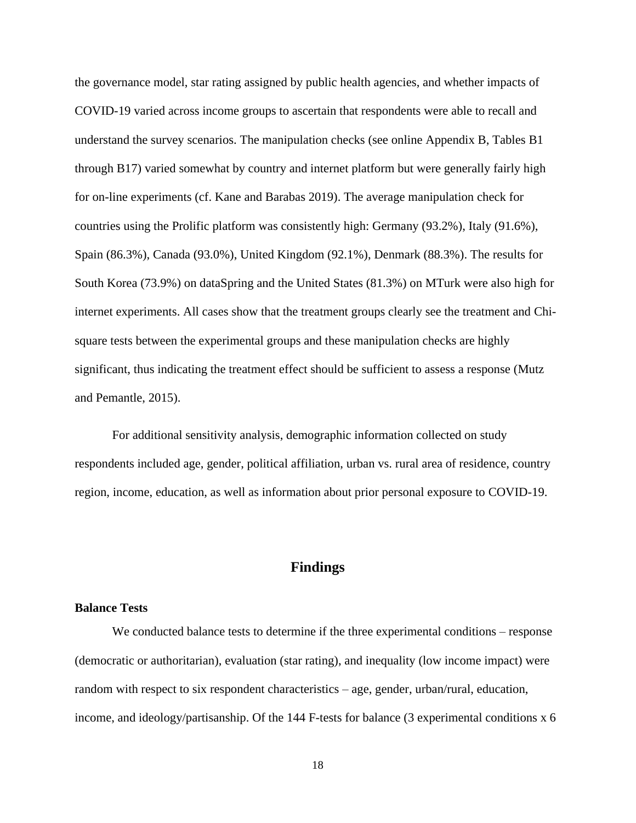the governance model, star rating assigned by public health agencies, and whether impacts of COVID-19 varied across income groups to ascertain that respondents were able to recall and understand the survey scenarios. The manipulation checks (see online Appendix B, Tables B1 through B17) varied somewhat by country and internet platform but were generally fairly high for on-line experiments (cf. Kane and Barabas 2019). The average manipulation check for countries using the Prolific platform was consistently high: Germany (93.2%), Italy (91.6%), Spain (86.3%), Canada (93.0%), United Kingdom (92.1%), Denmark (88.3%). The results for South Korea (73.9%) on dataSpring and the United States (81.3%) on MTurk were also high for internet experiments. All cases show that the treatment groups clearly see the treatment and Chisquare tests between the experimental groups and these manipulation checks are highly significant, thus indicating the treatment effect should be sufficient to assess a response (Mutz and Pemantle, 2015).

For additional sensitivity analysis, demographic information collected on study respondents included age, gender, political affiliation, urban vs. rural area of residence, country region, income, education, as well as information about prior personal exposure to COVID-19.

## **Findings**

#### **Balance Tests**

We conducted balance tests to determine if the three experimental conditions – response (democratic or authoritarian), evaluation (star rating), and inequality (low income impact) were random with respect to six respondent characteristics – age, gender, urban/rural, education, income, and ideology/partisanship. Of the 144 F-tests for balance (3 experimental conditions x 6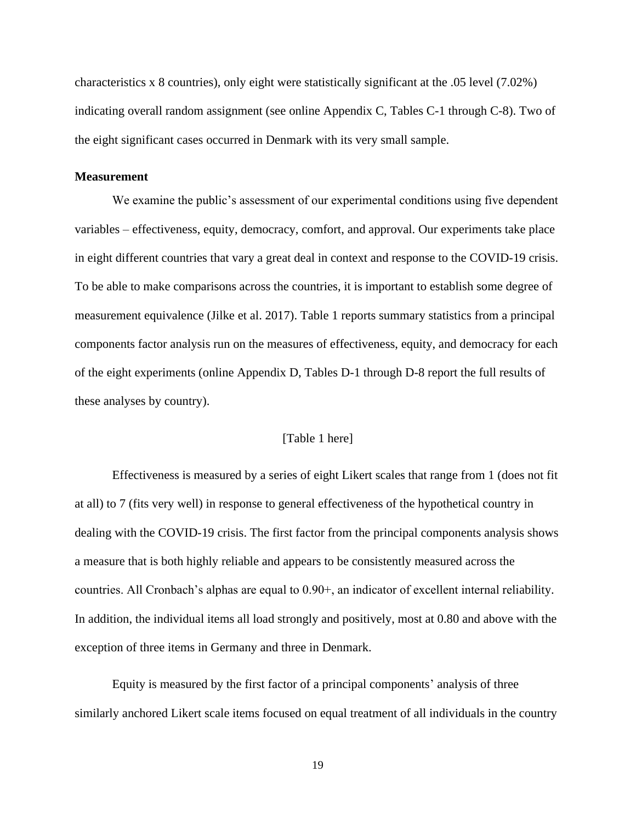characteristics x 8 countries), only eight were statistically significant at the .05 level (7.02%) indicating overall random assignment (see online Appendix C, Tables C-1 through C-8). Two of the eight significant cases occurred in Denmark with its very small sample.

#### **Measurement**

We examine the public's assessment of our experimental conditions using five dependent variables – effectiveness, equity, democracy, comfort, and approval. Our experiments take place in eight different countries that vary a great deal in context and response to the COVID-19 crisis. To be able to make comparisons across the countries, it is important to establish some degree of measurement equivalence (Jilke et al. 2017). Table 1 reports summary statistics from a principal components factor analysis run on the measures of effectiveness, equity, and democracy for each of the eight experiments (online Appendix D, Tables D-1 through D-8 report the full results of these analyses by country).

#### [Table 1 here]

Effectiveness is measured by a series of eight Likert scales that range from 1 (does not fit at all) to 7 (fits very well) in response to general effectiveness of the hypothetical country in dealing with the COVID-19 crisis. The first factor from the principal components analysis shows a measure that is both highly reliable and appears to be consistently measured across the countries. All Cronbach's alphas are equal to 0.90+, an indicator of excellent internal reliability. In addition, the individual items all load strongly and positively, most at 0.80 and above with the exception of three items in Germany and three in Denmark.

Equity is measured by the first factor of a principal components' analysis of three similarly anchored Likert scale items focused on equal treatment of all individuals in the country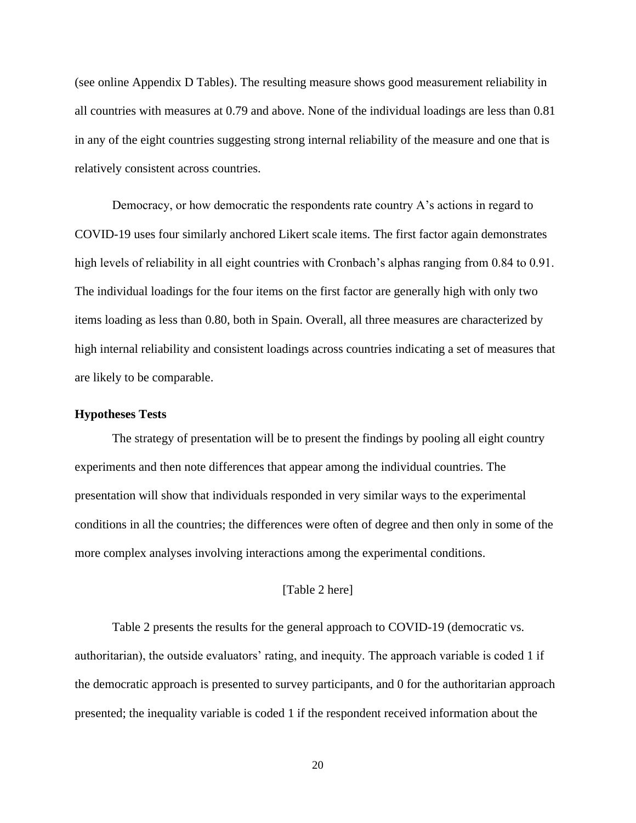(see online Appendix D Tables). The resulting measure shows good measurement reliability in all countries with measures at 0.79 and above. None of the individual loadings are less than 0.81 in any of the eight countries suggesting strong internal reliability of the measure and one that is relatively consistent across countries.

Democracy, or how democratic the respondents rate country A's actions in regard to COVID-19 uses four similarly anchored Likert scale items. The first factor again demonstrates high levels of reliability in all eight countries with Cronbach's alphas ranging from 0.84 to 0.91. The individual loadings for the four items on the first factor are generally high with only two items loading as less than 0.80, both in Spain. Overall, all three measures are characterized by high internal reliability and consistent loadings across countries indicating a set of measures that are likely to be comparable.

#### **Hypotheses Tests**

The strategy of presentation will be to present the findings by pooling all eight country experiments and then note differences that appear among the individual countries. The presentation will show that individuals responded in very similar ways to the experimental conditions in all the countries; the differences were often of degree and then only in some of the more complex analyses involving interactions among the experimental conditions.

#### [Table 2 here]

Table 2 presents the results for the general approach to COVID-19 (democratic vs. authoritarian), the outside evaluators' rating, and inequity. The approach variable is coded 1 if the democratic approach is presented to survey participants, and 0 for the authoritarian approach presented; the inequality variable is coded 1 if the respondent received information about the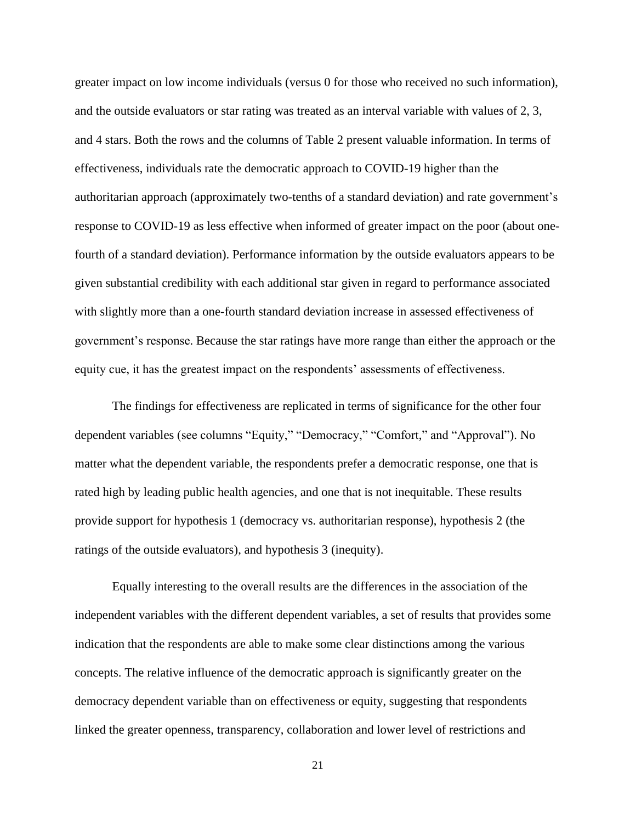greater impact on low income individuals (versus 0 for those who received no such information), and the outside evaluators or star rating was treated as an interval variable with values of 2, 3, and 4 stars. Both the rows and the columns of Table 2 present valuable information. In terms of effectiveness, individuals rate the democratic approach to COVID-19 higher than the authoritarian approach (approximately two-tenths of a standard deviation) and rate government's response to COVID-19 as less effective when informed of greater impact on the poor (about onefourth of a standard deviation). Performance information by the outside evaluators appears to be given substantial credibility with each additional star given in regard to performance associated with slightly more than a one-fourth standard deviation increase in assessed effectiveness of government's response. Because the star ratings have more range than either the approach or the equity cue, it has the greatest impact on the respondents' assessments of effectiveness.

The findings for effectiveness are replicated in terms of significance for the other four dependent variables (see columns "Equity," "Democracy," "Comfort," and "Approval"). No matter what the dependent variable, the respondents prefer a democratic response, one that is rated high by leading public health agencies, and one that is not inequitable. These results provide support for hypothesis 1 (democracy vs. authoritarian response), hypothesis 2 (the ratings of the outside evaluators), and hypothesis 3 (inequity).

Equally interesting to the overall results are the differences in the association of the independent variables with the different dependent variables, a set of results that provides some indication that the respondents are able to make some clear distinctions among the various concepts. The relative influence of the democratic approach is significantly greater on the democracy dependent variable than on effectiveness or equity, suggesting that respondents linked the greater openness, transparency, collaboration and lower level of restrictions and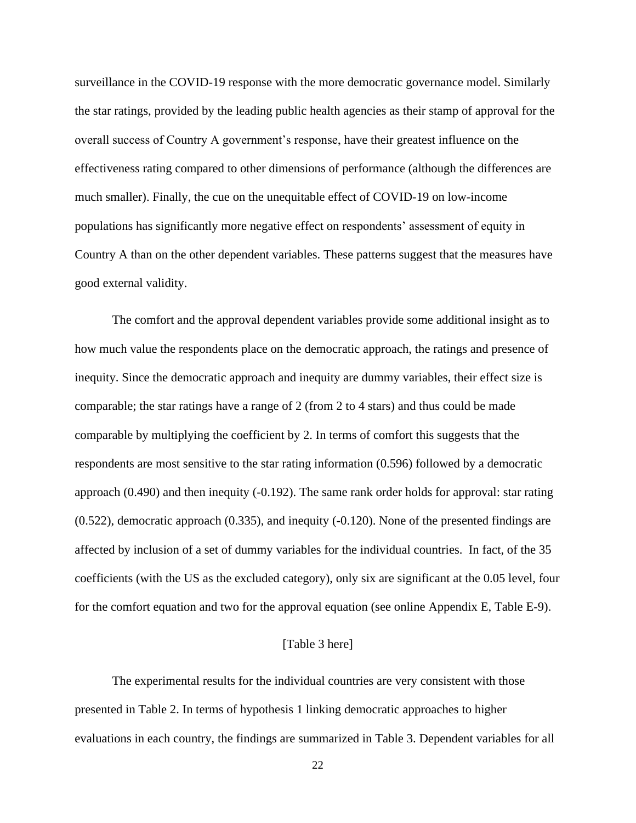surveillance in the COVID-19 response with the more democratic governance model. Similarly the star ratings, provided by the leading public health agencies as their stamp of approval for the overall success of Country A government's response, have their greatest influence on the effectiveness rating compared to other dimensions of performance (although the differences are much smaller). Finally, the cue on the unequitable effect of COVID-19 on low-income populations has significantly more negative effect on respondents' assessment of equity in Country A than on the other dependent variables. These patterns suggest that the measures have good external validity.

The comfort and the approval dependent variables provide some additional insight as to how much value the respondents place on the democratic approach, the ratings and presence of inequity. Since the democratic approach and inequity are dummy variables, their effect size is comparable; the star ratings have a range of 2 (from 2 to 4 stars) and thus could be made comparable by multiplying the coefficient by 2. In terms of comfort this suggests that the respondents are most sensitive to the star rating information (0.596) followed by a democratic approach (0.490) and then inequity (-0.192). The same rank order holds for approval: star rating (0.522), democratic approach (0.335), and inequity (-0.120). None of the presented findings are affected by inclusion of a set of dummy variables for the individual countries. In fact, of the 35 coefficients (with the US as the excluded category), only six are significant at the 0.05 level, four for the comfort equation and two for the approval equation (see online Appendix E, Table E-9).

#### [Table 3 here]

The experimental results for the individual countries are very consistent with those presented in Table 2. In terms of hypothesis 1 linking democratic approaches to higher evaluations in each country, the findings are summarized in Table 3. Dependent variables for all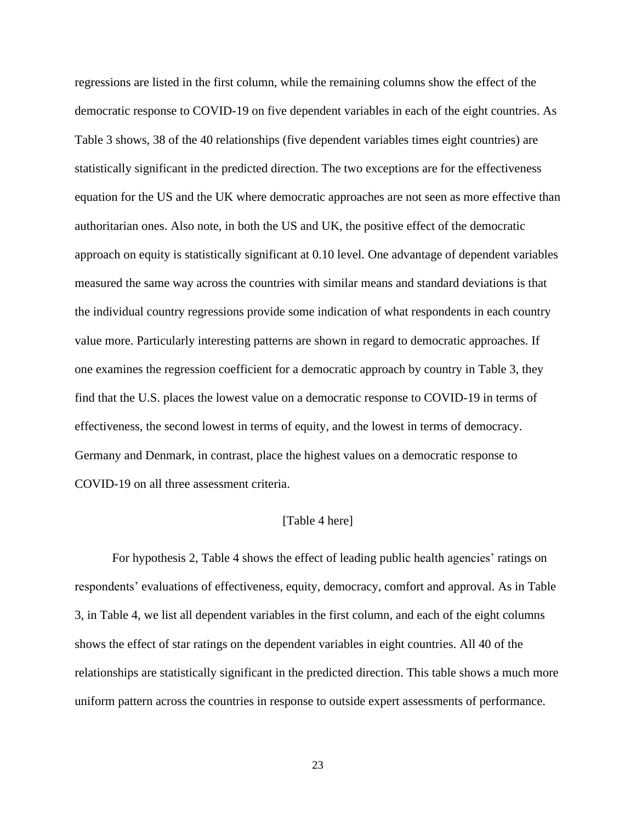regressions are listed in the first column, while the remaining columns show the effect of the democratic response to COVID-19 on five dependent variables in each of the eight countries. As Table 3 shows, 38 of the 40 relationships (five dependent variables times eight countries) are statistically significant in the predicted direction. The two exceptions are for the effectiveness equation for the US and the UK where democratic approaches are not seen as more effective than authoritarian ones. Also note, in both the US and UK, the positive effect of the democratic approach on equity is statistically significant at 0.10 level. One advantage of dependent variables measured the same way across the countries with similar means and standard deviations is that the individual country regressions provide some indication of what respondents in each country value more. Particularly interesting patterns are shown in regard to democratic approaches. If one examines the regression coefficient for a democratic approach by country in Table 3, they find that the U.S. places the lowest value on a democratic response to COVID-19 in terms of effectiveness, the second lowest in terms of equity, and the lowest in terms of democracy. Germany and Denmark, in contrast, place the highest values on a democratic response to COVID-19 on all three assessment criteria.

#### [Table 4 here]

For hypothesis 2, Table 4 shows the effect of leading public health agencies' ratings on respondents' evaluations of effectiveness, equity, democracy, comfort and approval. As in Table 3, in Table 4, we list all dependent variables in the first column, and each of the eight columns shows the effect of star ratings on the dependent variables in eight countries. All 40 of the relationships are statistically significant in the predicted direction. This table shows a much more uniform pattern across the countries in response to outside expert assessments of performance.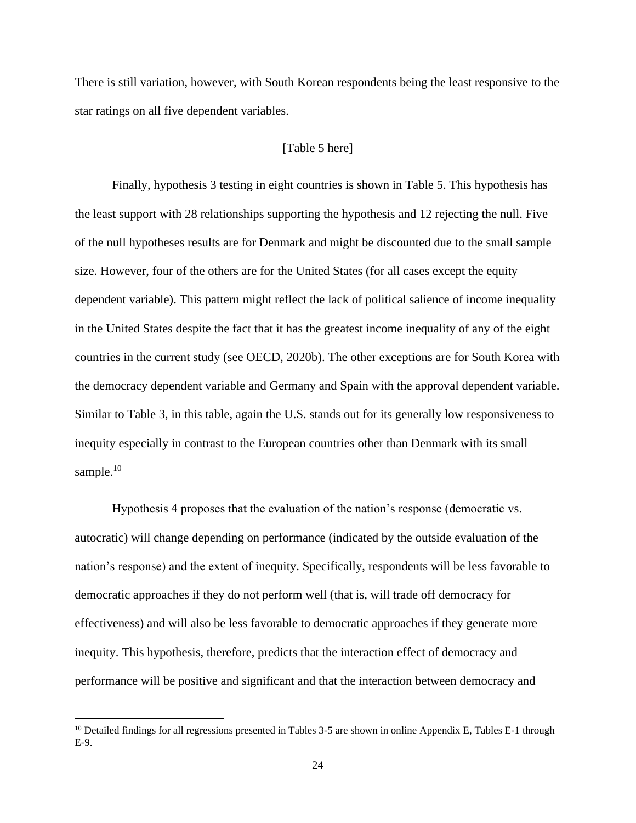There is still variation, however, with South Korean respondents being the least responsive to the star ratings on all five dependent variables.

#### [Table 5 here]

Finally, hypothesis 3 testing in eight countries is shown in Table 5. This hypothesis has the least support with 28 relationships supporting the hypothesis and 12 rejecting the null. Five of the null hypotheses results are for Denmark and might be discounted due to the small sample size. However, four of the others are for the United States (for all cases except the equity dependent variable). This pattern might reflect the lack of political salience of income inequality in the United States despite the fact that it has the greatest income inequality of any of the eight countries in the current study (see OECD, 2020b). The other exceptions are for South Korea with the democracy dependent variable and Germany and Spain with the approval dependent variable. Similar to Table 3, in this table, again the U.S. stands out for its generally low responsiveness to inequity especially in contrast to the European countries other than Denmark with its small sample. $10$ 

Hypothesis 4 proposes that the evaluation of the nation's response (democratic vs. autocratic) will change depending on performance (indicated by the outside evaluation of the nation's response) and the extent of inequity. Specifically, respondents will be less favorable to democratic approaches if they do not perform well (that is, will trade off democracy for effectiveness) and will also be less favorable to democratic approaches if they generate more inequity. This hypothesis, therefore, predicts that the interaction effect of democracy and performance will be positive and significant and that the interaction between democracy and

<sup>&</sup>lt;sup>10</sup> Detailed findings for all regressions presented in Tables 3-5 are shown in online Appendix E, Tables E-1 through E-9.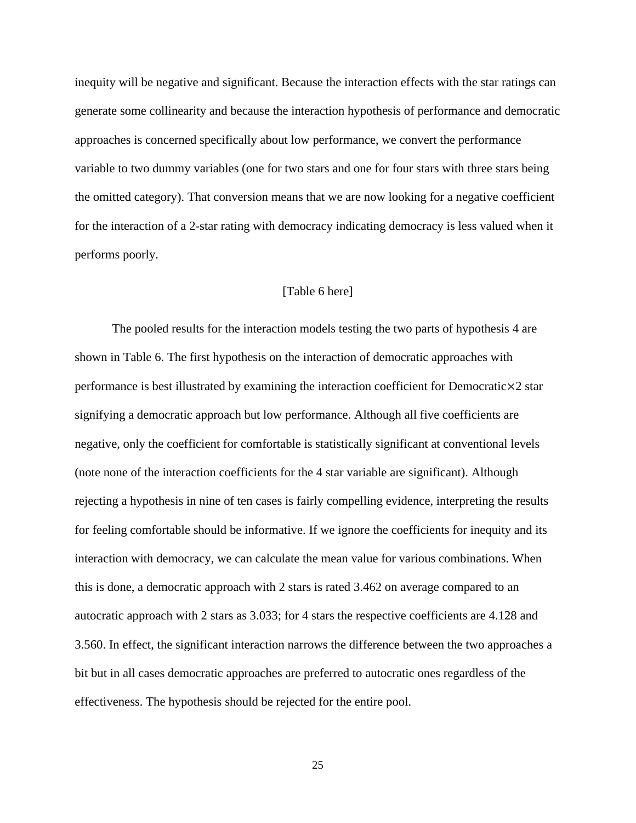inequity will be negative and significant. Because the interaction effects with the star ratings can generate some collinearity and because the interaction hypothesis of performance and democratic approaches is concerned specifically about low performance, we convert the performance variable to two dummy variables (one for two stars and one for four stars with three stars being the omitted category). That conversion means that we are now looking for a negative coefficient for the interaction of a 2-star rating with democracy indicating democracy is less valued when it performs poorly.

#### [Table 6 here]

The pooled results for the interaction models testing the two parts of hypothesis 4 are shown in Table 6. The first hypothesis on the interaction of democratic approaches with performance is best illustrated by examining the interaction coefficient for Democratic $\times 2$  star signifying a democratic approach but low performance. Although all five coefficients are negative, only the coefficient for comfortable is statistically significant at conventional levels (note none of the interaction coefficients for the 4 star variable are significant). Although rejecting a hypothesis in nine of ten cases is fairly compelling evidence, interpreting the results for feeling comfortable should be informative. If we ignore the coefficients for inequity and its interaction with democracy, we can calculate the mean value for various combinations. When this is done, a democratic approach with 2 stars is rated 3.462 on average compared to an autocratic approach with 2 stars as 3.033; for 4 stars the respective coefficients are 4.128 and 3.560. In effect, the significant interaction narrows the difference between the two approaches a bit but in all cases democratic approaches are preferred to autocratic ones regardless of the effectiveness. The hypothesis should be rejected for the entire pool.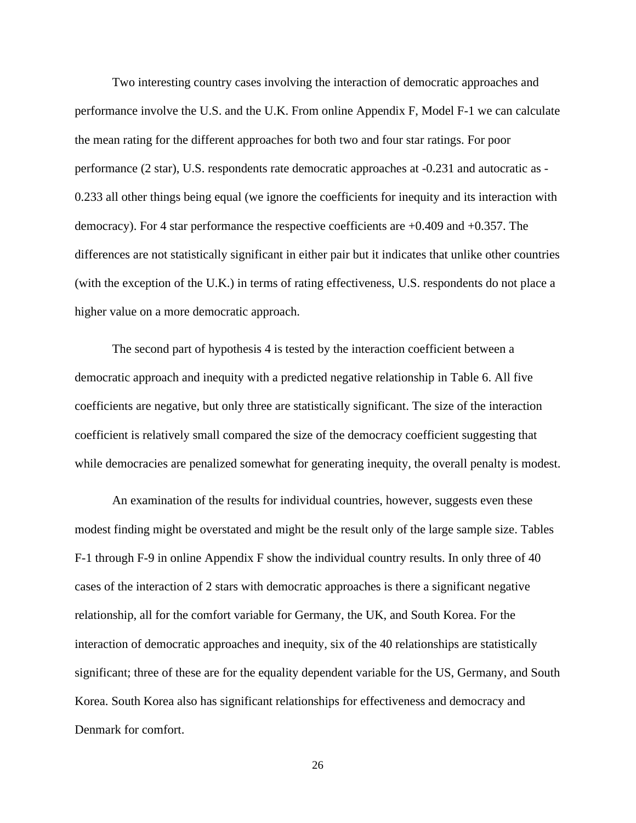Two interesting country cases involving the interaction of democratic approaches and performance involve the U.S. and the U.K. From online Appendix F, Model F-1 we can calculate the mean rating for the different approaches for both two and four star ratings. For poor performance (2 star), U.S. respondents rate democratic approaches at -0.231 and autocratic as - 0.233 all other things being equal (we ignore the coefficients for inequity and its interaction with democracy). For 4 star performance the respective coefficients are +0.409 and +0.357. The differences are not statistically significant in either pair but it indicates that unlike other countries (with the exception of the U.K.) in terms of rating effectiveness, U.S. respondents do not place a higher value on a more democratic approach.

The second part of hypothesis 4 is tested by the interaction coefficient between a democratic approach and inequity with a predicted negative relationship in Table 6. All five coefficients are negative, but only three are statistically significant. The size of the interaction coefficient is relatively small compared the size of the democracy coefficient suggesting that while democracies are penalized somewhat for generating inequity, the overall penalty is modest.

An examination of the results for individual countries, however, suggests even these modest finding might be overstated and might be the result only of the large sample size. Tables F-1 through F-9 in online Appendix F show the individual country results. In only three of 40 cases of the interaction of 2 stars with democratic approaches is there a significant negative relationship, all for the comfort variable for Germany, the UK, and South Korea. For the interaction of democratic approaches and inequity, six of the 40 relationships are statistically significant; three of these are for the equality dependent variable for the US, Germany, and South Korea. South Korea also has significant relationships for effectiveness and democracy and Denmark for comfort.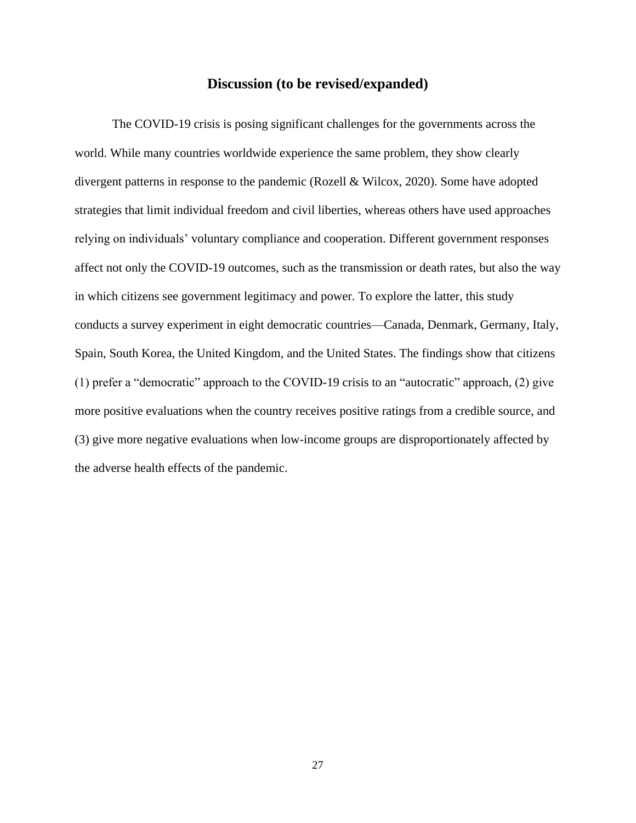#### **Discussion (to be revised/expanded)**

The COVID-19 crisis is posing significant challenges for the governments across the world. While many countries worldwide experience the same problem, they show clearly divergent patterns in response to the pandemic (Rozell & Wilcox, 2020). Some have adopted strategies that limit individual freedom and civil liberties, whereas others have used approaches relying on individuals' voluntary compliance and cooperation. Different government responses affect not only the COVID-19 outcomes, such as the transmission or death rates, but also the way in which citizens see government legitimacy and power. To explore the latter, this study conducts a survey experiment in eight democratic countries—Canada, Denmark, Germany, Italy, Spain, South Korea, the United Kingdom, and the United States. The findings show that citizens (1) prefer a "democratic" approach to the COVID-19 crisis to an "autocratic" approach, (2) give more positive evaluations when the country receives positive ratings from a credible source, and (3) give more negative evaluations when low-income groups are disproportionately affected by the adverse health effects of the pandemic.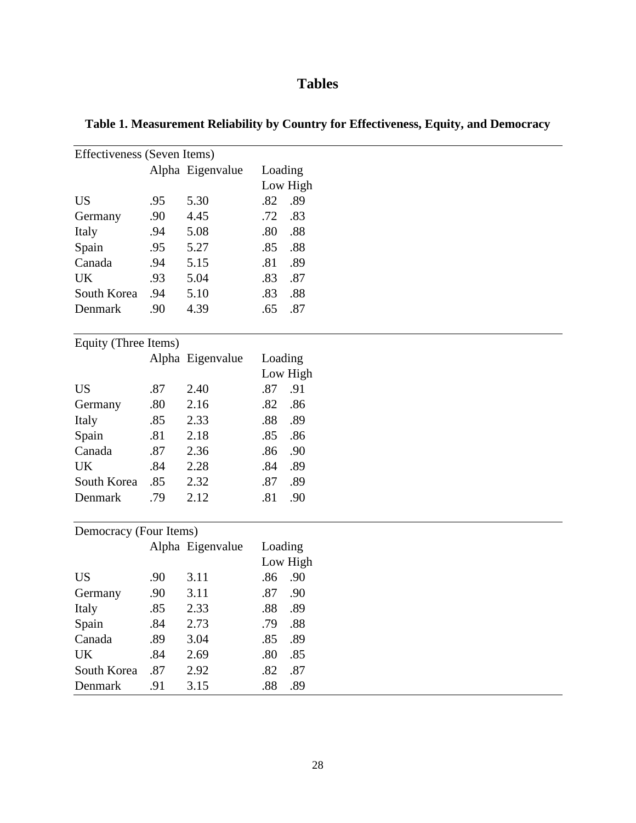# **Tables**

| Effectiveness (Seven Items) |     |                  |         |          |  |  |  |  |  |
|-----------------------------|-----|------------------|---------|----------|--|--|--|--|--|
| Alpha Eigenvalue            |     |                  | Loading |          |  |  |  |  |  |
|                             |     |                  |         | Low High |  |  |  |  |  |
| <b>US</b>                   | .95 | 5.30             | .82     | .89      |  |  |  |  |  |
| Germany                     | .90 | 4.45             | .72     | .83      |  |  |  |  |  |
| Italy                       | .94 | 5.08             | .80     | .88      |  |  |  |  |  |
| Spain                       | .95 | 5.27             | .85     | .88      |  |  |  |  |  |
| Canada                      | .94 | 5.15             | .81     | .89      |  |  |  |  |  |
| <b>UK</b>                   | .93 | 5.04             | .83     | .87      |  |  |  |  |  |
| South Korea                 | .94 | 5.10             | .83     | .88      |  |  |  |  |  |
| Denmark                     | .90 | 4.39             | .65     | .87      |  |  |  |  |  |
| Equity (Three Items)        |     |                  |         |          |  |  |  |  |  |
|                             |     | Alpha Eigenvalue | Loading |          |  |  |  |  |  |
|                             |     |                  |         | Low High |  |  |  |  |  |
| <b>US</b>                   | .87 | 2.40             | .87     | .91      |  |  |  |  |  |
| Germany                     | .80 | 2.16             | .82     | .86      |  |  |  |  |  |
| Italy                       | .85 | 2.33             | .88     | .89      |  |  |  |  |  |
| Spain                       | .81 | 2.18             | .85     | .86      |  |  |  |  |  |
| Canada                      | .87 | 2.36             | .86     | .90      |  |  |  |  |  |
| <b>UK</b>                   | .84 | 2.28             | .84     | .89      |  |  |  |  |  |
| South Korea                 | .85 | 2.32             | .87     | .89      |  |  |  |  |  |
| Denmark                     | .79 | 2.12             | .81     | .90      |  |  |  |  |  |
| Democracy (Four Items)      |     |                  |         |          |  |  |  |  |  |
|                             |     | Alpha Eigenvalue | Loading |          |  |  |  |  |  |
|                             |     |                  |         | Low High |  |  |  |  |  |
| <b>US</b>                   | .90 | 3.11             | .86     | .90      |  |  |  |  |  |
| Germany                     | .90 | 3.11             | .87     | .90      |  |  |  |  |  |
| Italy                       | .85 | 2.33             | .88     | .89      |  |  |  |  |  |
| Spain                       | .84 | 2.73             | .79     | .88      |  |  |  |  |  |
| Canada                      | .89 | 3.04             | .85     | .89      |  |  |  |  |  |
| UK                          | .84 | 2.69             | .80     | .85      |  |  |  |  |  |
| South Korea                 | .87 | 2.92             | .82     | .87      |  |  |  |  |  |
| Denmark                     | .91 | 3.15             | .88     | .89      |  |  |  |  |  |

# **Table 1. Measurement Reliability by Country for Effectiveness, Equity, and Democracy**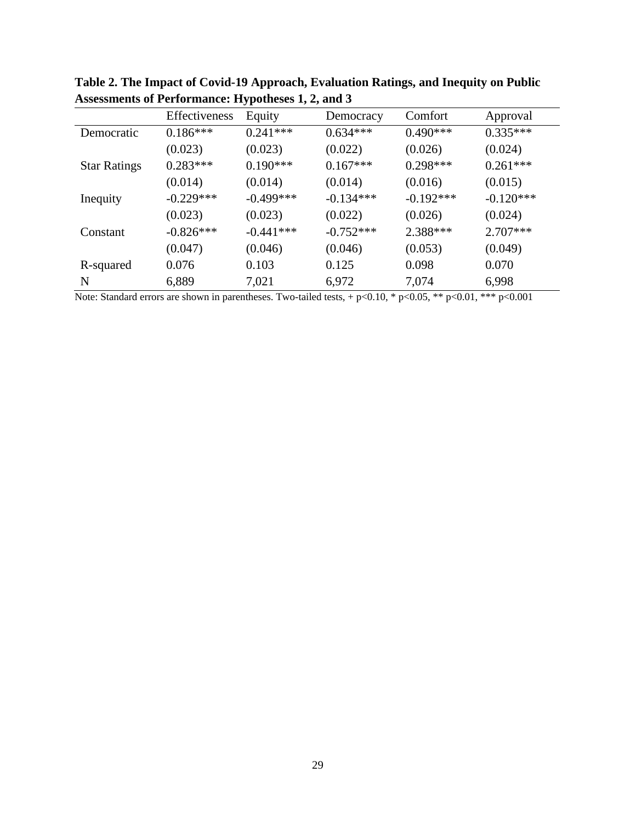|                     | Effectiveness | Equity      | Democracy   | Comfort     | Approval    |
|---------------------|---------------|-------------|-------------|-------------|-------------|
| Democratic          | $0.186***$    | $0.241***$  | $0.634***$  | $0.490***$  | $0.335***$  |
|                     | (0.023)       | (0.023)     | (0.022)     | (0.026)     | (0.024)     |
| <b>Star Ratings</b> | $0.283***$    | $0.190***$  | $0.167***$  | $0.298***$  | $0.261***$  |
|                     | (0.014)       | (0.014)     | (0.014)     | (0.016)     | (0.015)     |
| Inequity            | $-0.229***$   | $-0.499***$ | $-0.134***$ | $-0.192***$ | $-0.120***$ |
|                     | (0.023)       | (0.023)     | (0.022)     | (0.026)     | (0.024)     |
| Constant            | $-0.826***$   | $-0.441***$ | $-0.752***$ | $2.388***$  | $2.707***$  |
|                     | (0.047)       | (0.046)     | (0.046)     | (0.053)     | (0.049)     |
| R-squared           | 0.076         | 0.103       | 0.125       | 0.098       | 0.070       |
| N                   | 6,889         | 7,021       | 6,972       | 7,074       | 6,998       |

**Table 2. The Impact of Covid-19 Approach, Evaluation Ratings, and Inequity on Public Assessments of Performance: Hypotheses 1, 2, and 3**

Note: Standard errors are shown in parentheses. Two-tailed tests, + p<0.10, \* p<0.05, \*\* p<0.01, \*\*\* p<0.001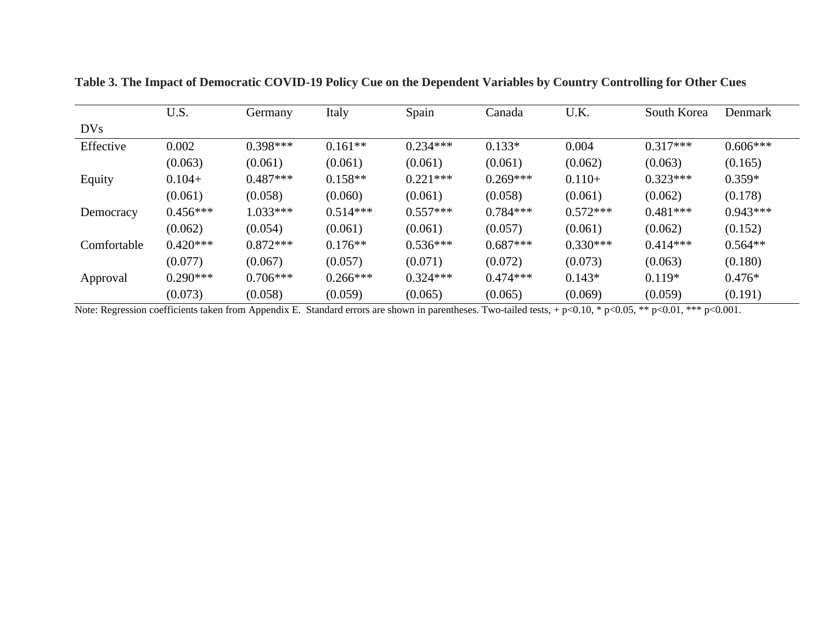|             | U.S.       | Germany    | Italy      | Spain      | Canada     | U.K.       | South Korea | Denmark    |
|-------------|------------|------------|------------|------------|------------|------------|-------------|------------|
| DVs         |            |            |            |            |            |            |             |            |
| Effective   | 0.002      | $0.398***$ | $0.161**$  | $0.234***$ | $0.133*$   | 0.004      | $0.317***$  | $0.606***$ |
|             | (0.063)    | (0.061)    | (0.061)    | (0.061)    | (0.061)    | (0.062)    | (0.063)     | (0.165)    |
| Equity      | $0.104+$   | $0.487***$ | $0.158**$  | $0.221***$ | $0.269***$ | $0.110+$   | $0.323***$  | $0.359*$   |
|             | (0.061)    | (0.058)    | (0.060)    | (0.061)    | (0.058)    | (0.061)    | (0.062)     | (0.178)    |
| Democracy   | $0.456***$ | $1.033***$ | $0.514***$ | $0.557***$ | $0.784***$ | $0.572***$ | $0.481***$  | $0.943***$ |
|             | (0.062)    | (0.054)    | (0.061)    | (0.061)    | (0.057)    | (0.061)    | (0.062)     | (0.152)    |
| Comfortable | $0.420***$ | $0.872***$ | $0.176**$  | $0.536***$ | $0.687***$ | $0.330***$ | $0.414***$  | $0.564**$  |
|             | (0.077)    | (0.067)    | (0.057)    | (0.071)    | (0.072)    | (0.073)    | (0.063)     | (0.180)    |
| Approval    | $0.290***$ | $0.706***$ | $0.266***$ | $0.324***$ | $0.474***$ | $0.143*$   | $0.119*$    | $0.476*$   |
|             | (0.073)    | (0.058)    | (0.059)    | (0.065)    | (0.065)    | (0.069)    | (0.059)     | (0.191)    |

**Table 3. The Impact of Democratic COVID-19 Policy Cue on the Dependent Variables by Country Controlling for Other Cues**

Note: Regression coefficients taken from Appendix E. Standard errors are shown in parentheses. Two-tailed tests, + p<0.10, \* p<0.05, \*\* p<0.01, \*\*\* p<0.001.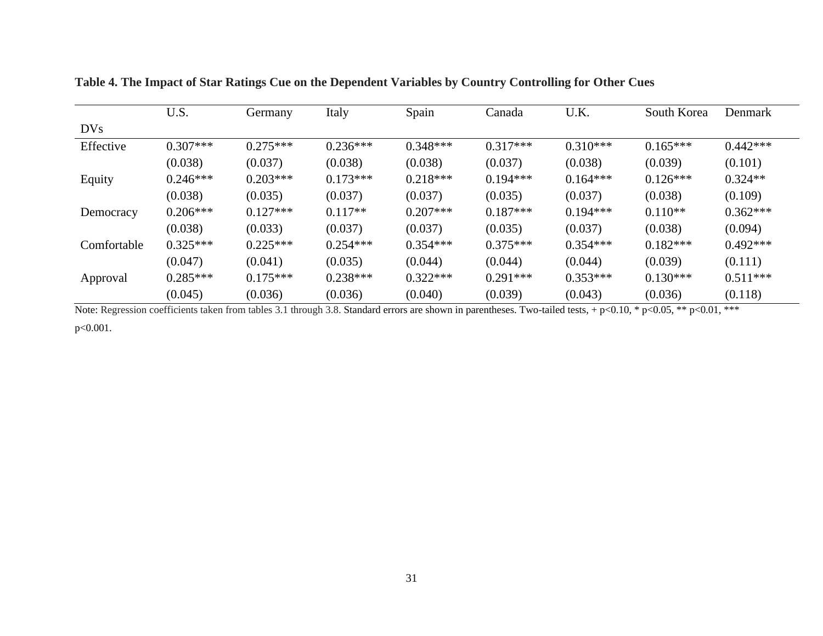|             | U.S.       | Germany    | Italy      | Spain      | Canada     | U.K.       | South Korea | Denmark    |
|-------------|------------|------------|------------|------------|------------|------------|-------------|------------|
| DVs         |            |            |            |            |            |            |             |            |
| Effective   | $0.307***$ | $0.275***$ | $0.236***$ | $0.348***$ | $0.317***$ | $0.310***$ | $0.165***$  | $0.442***$ |
|             | (0.038)    | (0.037)    | (0.038)    | (0.038)    | (0.037)    | (0.038)    | (0.039)     | (0.101)    |
| Equity      | $0.246***$ | $0.203***$ | $0.173***$ | $0.218***$ | $0.194***$ | $0.164***$ | $0.126***$  | $0.324**$  |
|             | (0.038)    | (0.035)    | (0.037)    | (0.037)    | (0.035)    | (0.037)    | (0.038)     | (0.109)    |
| Democracy   | $0.206***$ | $0.127***$ | $0.117**$  | $0.207***$ | $0.187***$ | $0.194***$ | $0.110**$   | $0.362***$ |
|             | (0.038)    | (0.033)    | (0.037)    | (0.037)    | (0.035)    | (0.037)    | (0.038)     | (0.094)    |
| Comfortable | $0.325***$ | $0.225***$ | $0.254***$ | $0.354***$ | $0.375***$ | $0.354***$ | $0.182***$  | $0.492***$ |
|             | (0.047)    | (0.041)    | (0.035)    | (0.044)    | (0.044)    | (0.044)    | (0.039)     | (0.111)    |
| Approval    | $0.285***$ | $0.175***$ | $0.238***$ | $0.322***$ | $0.291***$ | $0.353***$ | $0.130***$  | $0.511***$ |
|             | (0.045)    | (0.036)    | (0.036)    | (0.040)    | (0.039)    | (0.043)    | (0.036)     | (0.118)    |

**Table 4. The Impact of Star Ratings Cue on the Dependent Variables by Country Controlling for Other Cues**

Note: Regression coefficients taken from tables 3.1 through 3.8. Standard errors are shown in parentheses. Two-tailed tests, + p<0.10, \* p<0.05, \*\* p<0.01, \*\*\*

p<0.001.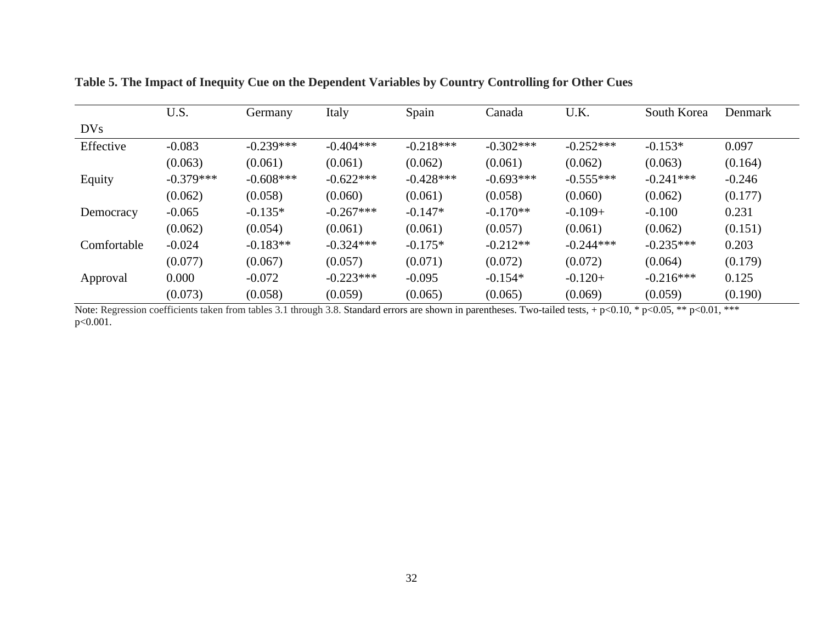|             | U.S.        | Germany     | Italy       | Spain       | Canada      | U.K.        | South Korea | Denmark  |
|-------------|-------------|-------------|-------------|-------------|-------------|-------------|-------------|----------|
| DVs         |             |             |             |             |             |             |             |          |
| Effective   | $-0.083$    | $-0.239***$ | $-0.404***$ | $-0.218***$ | $-0.302***$ | $-0.252***$ | $-0.153*$   | 0.097    |
|             | (0.063)     | (0.061)     | (0.061)     | (0.062)     | (0.061)     | (0.062)     | (0.063)     | (0.164)  |
| Equity      | $-0.379***$ | $-0.608***$ | $-0.622***$ | $-0.428***$ | $-0.693***$ | $-0.555***$ | $-0.241***$ | $-0.246$ |
|             | (0.062)     | (0.058)     | (0.060)     | (0.061)     | (0.058)     | (0.060)     | (0.062)     | (0.177)  |
| Democracy   | $-0.065$    | $-0.135*$   | $-0.267***$ | $-0.147*$   | $-0.170**$  | $-0.109+$   | $-0.100$    | 0.231    |
|             | (0.062)     | (0.054)     | (0.061)     | (0.061)     | (0.057)     | (0.061)     | (0.062)     | (0.151)  |
| Comfortable | $-0.024$    | $-0.183**$  | $-0.324***$ | $-0.175*$   | $-0.212**$  | $-0.244***$ | $-0.235***$ | 0.203    |
|             | (0.077)     | (0.067)     | (0.057)     | (0.071)     | (0.072)     | (0.072)     | (0.064)     | (0.179)  |
| Approval    | 0.000       | $-0.072$    | $-0.223***$ | $-0.095$    | $-0.154*$   | $-0.120+$   | $-0.216***$ | 0.125    |
|             | (0.073)     | (0.058)     | (0.059)     | (0.065)     | (0.065)     | (0.069)     | (0.059)     | (0.190)  |

**Table 5. The Impact of Inequity Cue on the Dependent Variables by Country Controlling for Other Cues**

Note: Regression coefficients taken from tables 3.1 through 3.8. Standard errors are shown in parentheses. Two-tailed tests, + p<0.10, \* p<0.05, \*\* p<0.01, \*\*\* p<0.001.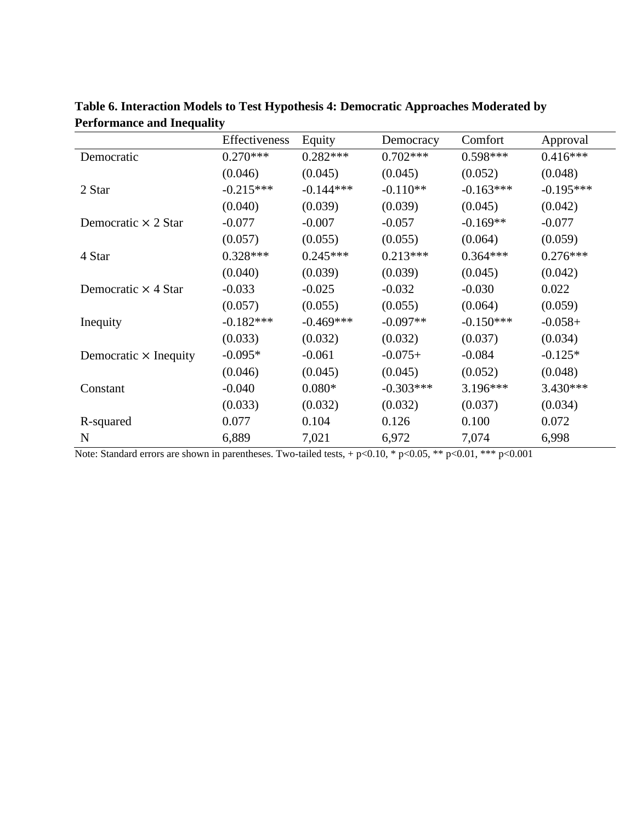|                              | Effectiveness | Equity      | Democracy   | Comfort     | Approval    |
|------------------------------|---------------|-------------|-------------|-------------|-------------|
| Democratic                   | $0.270***$    | $0.282***$  | $0.702***$  | $0.598***$  | $0.416***$  |
|                              | (0.046)       | (0.045)     | (0.045)     | (0.052)     | (0.048)     |
| 2 Star                       | $-0.215***$   | $-0.144***$ | $-0.110**$  | $-0.163***$ | $-0.195***$ |
|                              | (0.040)       | (0.039)     | (0.039)     | (0.045)     | (0.042)     |
| Democratic $\times$ 2 Star   | $-0.077$      | $-0.007$    | $-0.057$    | $-0.169**$  | $-0.077$    |
|                              | (0.057)       | (0.055)     | (0.055)     | (0.064)     | (0.059)     |
| 4 Star                       | $0.328***$    | $0.245***$  | $0.213***$  | $0.364***$  | $0.276***$  |
|                              | (0.040)       | (0.039)     | (0.039)     | (0.045)     | (0.042)     |
| Democratic $\times$ 4 Star   | $-0.033$      | $-0.025$    | $-0.032$    | $-0.030$    | 0.022       |
|                              | (0.057)       | (0.055)     | (0.055)     | (0.064)     | (0.059)     |
| Inequity                     | $-0.182***$   | $-0.469***$ | $-0.097**$  | $-0.150***$ | $-0.058+$   |
|                              | (0.033)       | (0.032)     | (0.032)     | (0.037)     | (0.034)     |
| Democratic $\times$ Inequity | $-0.095*$     | $-0.061$    | $-0.075+$   | $-0.084$    | $-0.125*$   |
|                              | (0.046)       | (0.045)     | (0.045)     | (0.052)     | (0.048)     |
| Constant                     | $-0.040$      | $0.080*$    | $-0.303***$ | $3.196***$  | 3.430***    |
|                              | (0.033)       | (0.032)     | (0.032)     | (0.037)     | (0.034)     |
| R-squared                    | 0.077         | 0.104       | 0.126       | 0.100       | 0.072       |
| N                            | 6,889         | 7,021       | 6,972       | 7,074       | 6,998       |

**Table 6. Interaction Models to Test Hypothesis 4: Democratic Approaches Moderated by Performance and Inequality**

Note: Standard errors are shown in parentheses. Two-tailed tests, + p<0.10, \* p<0.05, \*\* p<0.01, \*\*\* p<0.001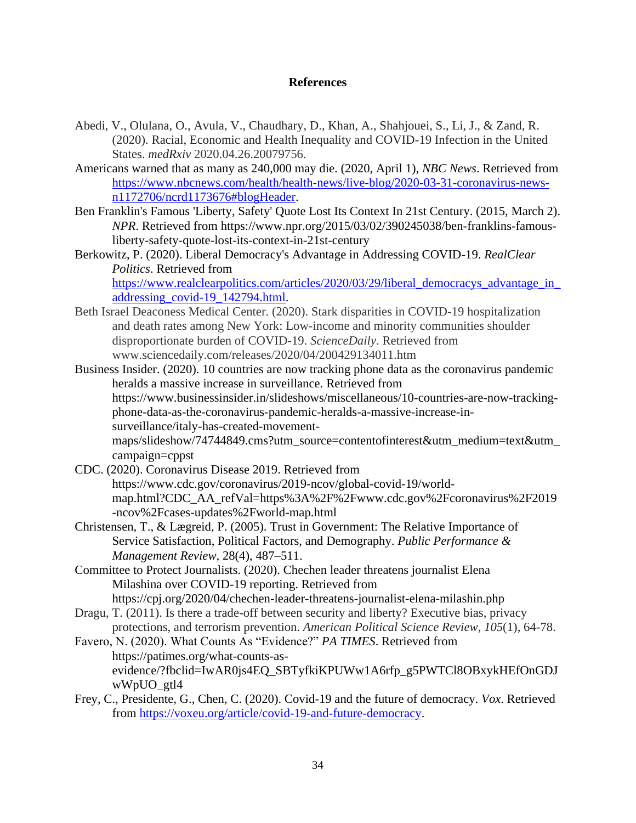## **References**

- Abedi, V., Olulana, O., Avula, V., Chaudhary, D., Khan, A., Shahjouei, S., Li, J., & Zand, R. (2020). Racial, Economic and Health Inequality and COVID-19 Infection in the United States. *medRxiv* 2020.04.26.20079756.
- Americans warned that as many as 240,000 may die. (2020, April 1), *NBC News*. Retrieved from [https://www.nbcnews.com/health/health-news/live-blog/2020-03-31-coronavirus-news](https://www.nbcnews.com/health/health-news/live-blog/2020-03-31-coronavirus-news-n1172706/ncrd1173676#blogHeader)[n1172706/ncrd1173676#blogHeader.](https://www.nbcnews.com/health/health-news/live-blog/2020-03-31-coronavirus-news-n1172706/ncrd1173676#blogHeader)
- Ben Franklin's Famous 'Liberty, Safety' Quote Lost Its Context In 21st Century. (2015, March 2). *NPR*. Retrieved from [https://www.npr.org/2015/03/02/390245038/ben-franklins-famous](https://www.npr.org/2015/03/02/390245038/ben-franklins-famous-liberty-safety-quote-lost-its-context-in-21st-century)[liberty-safety-quote-lost-its-context-in-21st-century](https://www.npr.org/2015/03/02/390245038/ben-franklins-famous-liberty-safety-quote-lost-its-context-in-21st-century)
- Berkowitz, P. (2020). Liberal Democracy's Advantage in Addressing COVID-19. *RealClear Politics*. Retrieved from [https://www.realclearpolitics.com/articles/2020/03/29/liberal\\_democracys\\_advantage\\_in\\_](https://www.realclearpolitics.com/articles/2020/03/29/liberal_democracys_advantage_in_addressing_covid-19_142794.html) [addressing\\_covid-19\\_142794.html.](https://www.realclearpolitics.com/articles/2020/03/29/liberal_democracys_advantage_in_addressing_covid-19_142794.html)
- Beth Israel Deaconess Medical Center. (2020). Stark disparities in COVID-19 hospitalization and death rates among New York: Low-income and minority communities shoulder disproportionate burden of COVID-19. *ScienceDaily*. Retrieved from www.sciencedaily.com/releases/2020/04/200429134011.htm
- Business Insider. (2020). 10 countries are now tracking phone data as the coronavirus pandemic heralds a massive increase in surveillance. Retrieved from [https://www.businessinsider.in/slideshows/miscellaneous/10-countries-are-now-tracking](https://www.businessinsider.in/slideshows/miscellaneous/10-countries-are-now-tracking-phone-data-as-the-coronavirus-pandemic-heralds-a-massive-increase-in-surveillance/italy-has-created-movement-maps/slideshow/74744849.cms?utm_source=contentofinterest&utm_medium=text&utm_campaign=cppst)[phone-data-as-the-coronavirus-pandemic-heralds-a-massive-increase-in](https://www.businessinsider.in/slideshows/miscellaneous/10-countries-are-now-tracking-phone-data-as-the-coronavirus-pandemic-heralds-a-massive-increase-in-surveillance/italy-has-created-movement-maps/slideshow/74744849.cms?utm_source=contentofinterest&utm_medium=text&utm_campaign=cppst)[surveillance/italy-has-created-movement](https://www.businessinsider.in/slideshows/miscellaneous/10-countries-are-now-tracking-phone-data-as-the-coronavirus-pandemic-heralds-a-massive-increase-in-surveillance/italy-has-created-movement-maps/slideshow/74744849.cms?utm_source=contentofinterest&utm_medium=text&utm_campaign=cppst)[maps/slideshow/74744849.cms?utm\\_source=contentofinterest&utm\\_medium=text&utm\\_](https://www.businessinsider.in/slideshows/miscellaneous/10-countries-are-now-tracking-phone-data-as-the-coronavirus-pandemic-heralds-a-massive-increase-in-surveillance/italy-has-created-movement-maps/slideshow/74744849.cms?utm_source=contentofinterest&utm_medium=text&utm_campaign=cppst) [campaign=cppst](https://www.businessinsider.in/slideshows/miscellaneous/10-countries-are-now-tracking-phone-data-as-the-coronavirus-pandemic-heralds-a-massive-increase-in-surveillance/italy-has-created-movement-maps/slideshow/74744849.cms?utm_source=contentofinterest&utm_medium=text&utm_campaign=cppst)
- CDC. (2020). Coronavirus Disease 2019. Retrieved from [https://www.cdc.gov/coronavirus/2019-ncov/global-covid-19/world](https://www.cdc.gov/coronavirus/2019-ncov/global-covid-19/world-map.html?CDC_AA_refVal=https%3A%2F%2Fwww.cdc.gov%2Fcoronavirus%2F2019-ncov%2Fcases-updates%2Fworld-map.html)[map.html?CDC\\_AA\\_refVal=https%3A%2F%2Fwww.cdc.gov%2Fcoronavirus%2F2019](https://www.cdc.gov/coronavirus/2019-ncov/global-covid-19/world-map.html?CDC_AA_refVal=https%3A%2F%2Fwww.cdc.gov%2Fcoronavirus%2F2019-ncov%2Fcases-updates%2Fworld-map.html) [-ncov%2Fcases-updates%2Fworld-map.html](https://www.cdc.gov/coronavirus/2019-ncov/global-covid-19/world-map.html?CDC_AA_refVal=https%3A%2F%2Fwww.cdc.gov%2Fcoronavirus%2F2019-ncov%2Fcases-updates%2Fworld-map.html)
- Christensen, T., & Lægreid, P. (2005). Trust in Government: The Relative Importance of Service Satisfaction, Political Factors, and Demography. *Public Performance & Management Review*, 28(4), 487–511.
- Committee to Protect Journalists. (2020). Chechen leader threatens journalist Elena Milashina over COVID-19 reporting. Retrieved from <https://cpj.org/2020/04/chechen-leader-threatens-journalist-elena-milashin.php>
- Dragu, T. (2011). Is there a trade-off between security and liberty? Executive bias, privacy protections, and terrorism prevention. *American Political Science Review*, *105*(1), 64-78.
- Favero, N. (2020). What Counts As "Evidence?" *PA TIMES*. Retrieved from https://patimes.org/what-counts-asevidence/?fbclid=IwAR0js4EQ\_SBTyfkiKPUWw1A6rfp\_g5PWTCl8OBxykHEfOnGDJ wWpUO\_gtl4
- Frey, C., Presidente, G., Chen, C. (2020). Covid-19 and the future of democracy. *Vox*. Retrieved from [https://voxeu.org/article/covid-19-and-future-democracy.](https://voxeu.org/article/covid-19-and-future-democracy)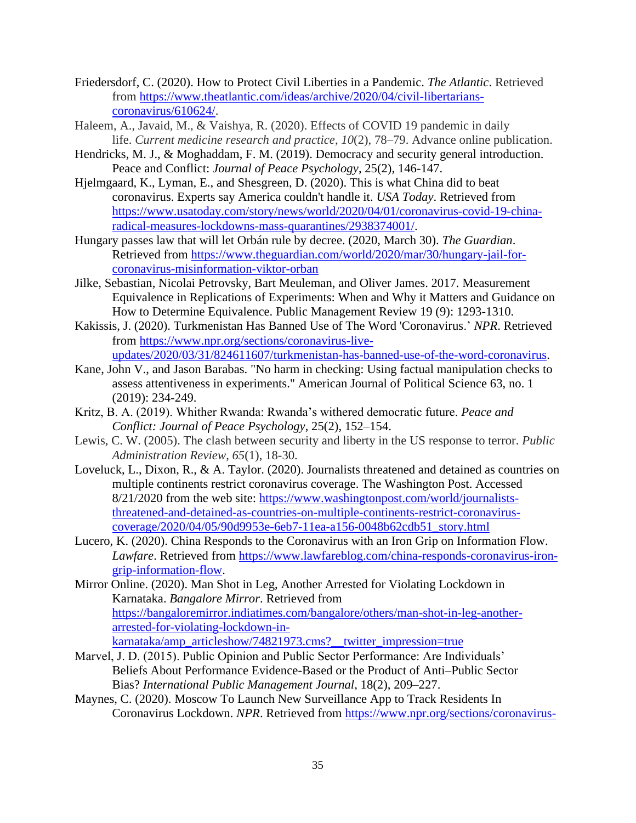- Friedersdorf, C. (2020). How to Protect Civil Liberties in a Pandemic. *The Atlantic*. Retrieved from [https://www.theatlantic.com/ideas/archive/2020/04/civil-libertarians](https://www.theatlantic.com/ideas/archive/2020/04/civil-libertarians-coronavirus/610624/)[coronavirus/610624/.](https://www.theatlantic.com/ideas/archive/2020/04/civil-libertarians-coronavirus/610624/)
- Haleem, A., Javaid, M., & Vaishya, R. (2020). Effects of COVID 19 pandemic in daily life. *Current medicine research and practice*, *10*(2), 78–79. Advance online publication.
- Hendricks, M. J., & Moghaddam, F. M. (2019). Democracy and security general introduction. Peace and Conflict: *Journal of Peace Psychology*, 25(2), 146-147.
- Hjelmgaard, K., Lyman, E., and Shesgreen, D. (2020). This is what China did to beat coronavirus. Experts say America couldn't handle it. *USA Today*. Retrieved from [https://www.usatoday.com/story/news/world/2020/04/01/coronavirus-covid-19-china](https://www.usatoday.com/story/news/world/2020/04/01/coronavirus-covid-19-china-radical-measures-lockdowns-mass-quarantines/2938374001/)[radical-measures-lockdowns-mass-quarantines/2938374001/.](https://www.usatoday.com/story/news/world/2020/04/01/coronavirus-covid-19-china-radical-measures-lockdowns-mass-quarantines/2938374001/)
- Hungary passes law that will let Orbán rule by decree. (2020, March 30). *The Guardian*. Retrieved from [https://www.theguardian.com/world/2020/mar/30/hungary-jail-for](https://www.theguardian.com/world/2020/mar/30/hungary-jail-for-coronavirus-misinformation-viktor-orban)[coronavirus-misinformation-viktor-orban](https://www.theguardian.com/world/2020/mar/30/hungary-jail-for-coronavirus-misinformation-viktor-orban)
- Jilke, Sebastian, Nicolai Petrovsky, Bart Meuleman, and Oliver James. 2017. Measurement Equivalence in Replications of Experiments: When and Why it Matters and Guidance on How to Determine Equivalence. Public Management Review 19 (9): 1293-1310.
- Kakissis, J. (2020). Turkmenistan Has Banned Use of The Word 'Coronavirus.' *NPR*. Retrieved from [https://www.npr.org/sections/coronavirus-live](https://www.npr.org/sections/coronavirus-live-updates/2020/03/31/824611607/turkmenistan-has-banned-use-of-the-word-coronavirus)[updates/2020/03/31/824611607/turkmenistan-has-banned-use-of-the-word-coronavirus.](https://www.npr.org/sections/coronavirus-live-updates/2020/03/31/824611607/turkmenistan-has-banned-use-of-the-word-coronavirus)
- Kane, John V., and Jason Barabas. "No harm in checking: Using factual manipulation checks to assess attentiveness in experiments." American Journal of Political Science 63, no. 1 (2019): 234-249.
- Kritz, B. A. (2019). Whither Rwanda: Rwanda's withered democratic future. *Peace and Conflict: Journal of Peace Psychology*, 25(2), 152–154.
- Lewis, C. W. (2005). The clash between security and liberty in the US response to terror. *Public Administration Review*, *65*(1), 18-30.
- Loveluck, L., Dixon, R., & A. Taylor. (2020). Journalists threatened and detained as countries on multiple continents restrict coronavirus coverage. The Washington Post. Accessed 8/21/2020 from the web site: [https://www.washingtonpost.com/world/journalists](https://www.washingtonpost.com/world/journalists-threatened-and-detained-as-countries-on-multiple-continents-restrict-coronavirus-coverage/2020/04/05/90d9953e-6eb7-11ea-a156-0048b62cdb51_story.html)[threatened-and-detained-as-countries-on-multiple-continents-restrict-coronavirus](https://www.washingtonpost.com/world/journalists-threatened-and-detained-as-countries-on-multiple-continents-restrict-coronavirus-coverage/2020/04/05/90d9953e-6eb7-11ea-a156-0048b62cdb51_story.html)[coverage/2020/04/05/90d9953e-6eb7-11ea-a156-0048b62cdb51\\_story.html](https://www.washingtonpost.com/world/journalists-threatened-and-detained-as-countries-on-multiple-continents-restrict-coronavirus-coverage/2020/04/05/90d9953e-6eb7-11ea-a156-0048b62cdb51_story.html)
- Lucero, K. (2020). China Responds to the Coronavirus with an Iron Grip on Information Flow. *Lawfare*. Retrieved from [https://www.lawfareblog.com/china-responds-coronavirus-iron](https://www.lawfareblog.com/china-responds-coronavirus-iron-grip-information-flow)[grip-information-flow.](https://www.lawfareblog.com/china-responds-coronavirus-iron-grip-information-flow)
- Mirror Online. (2020). Man Shot in Leg, Another Arrested for Violating Lockdown in Karnataka. *Bangalore Mirror*. Retrieved from [https://bangaloremirror.indiatimes.com/bangalore/others/man-shot-in-leg-another](https://bangaloremirror.indiatimes.com/bangalore/others/man-shot-in-leg-another-arrested-for-violating-lockdown-in-karnataka/amp_articleshow/74821973.cms?__twitter_impression=true)[arrested-for-violating-lockdown-in](https://bangaloremirror.indiatimes.com/bangalore/others/man-shot-in-leg-another-arrested-for-violating-lockdown-in-karnataka/amp_articleshow/74821973.cms?__twitter_impression=true)[karnataka/amp\\_articleshow/74821973.cms?\\_\\_twitter\\_impression=true](https://bangaloremirror.indiatimes.com/bangalore/others/man-shot-in-leg-another-arrested-for-violating-lockdown-in-karnataka/amp_articleshow/74821973.cms?__twitter_impression=true)
- Marvel, J. D. (2015). Public Opinion and Public Sector Performance: Are Individuals' Beliefs About Performance Evidence-Based or the Product of Anti–Public Sector Bias? *International Public Management Journal*, 18(2), 209–227.
- Maynes, C. (2020). Moscow To Launch New Surveillance App to Track Residents In Coronavirus Lockdown. *NPR*. Retrieved from [https://www.npr.org/sections/coronavirus-](https://www.npr.org/sections/coronavirus-live-updates/2020/04/01/825329399/moscow-launches-new-surveillance-app-to-track-residents-in-coronavirus-lockdown)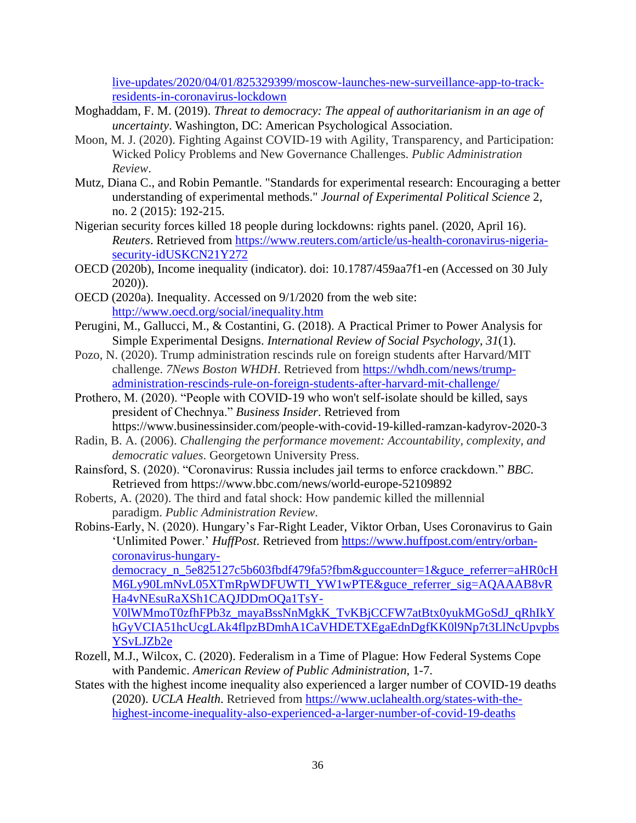[live-updates/2020/04/01/825329399/moscow-launches-new-surveillance-app-to-track](https://www.npr.org/sections/coronavirus-live-updates/2020/04/01/825329399/moscow-launches-new-surveillance-app-to-track-residents-in-coronavirus-lockdown)[residents-in-coronavirus-lockdown](https://www.npr.org/sections/coronavirus-live-updates/2020/04/01/825329399/moscow-launches-new-surveillance-app-to-track-residents-in-coronavirus-lockdown)

- Moghaddam, F. M. (2019). *Threat to democracy: The appeal of authoritarianism in an age of uncertainty*. Washington, DC: American Psychological Association.
- Moon, M. J. (2020). Fighting Against COVID-19 with Agility, Transparency, and Participation: Wicked Policy Problems and New Governance Challenges. *Public Administration Review*.
- Mutz, Diana C., and Robin Pemantle. "Standards for experimental research: Encouraging a better understanding of experimental methods." *Journal of Experimental Political Science* 2, no. 2 (2015): 192-215.
- Nigerian security forces killed 18 people during lockdowns: rights panel. (2020, April 16). *Reuters*. Retrieved from [https://www.reuters.com/article/us-health-coronavirus-nigeria](https://www.reuters.com/article/us-health-coronavirus-nigeria-security-idUSKCN21Y272)[security-idUSKCN21Y272](https://www.reuters.com/article/us-health-coronavirus-nigeria-security-idUSKCN21Y272)
- OECD (2020b), Income inequality (indicator). doi: 10.1787/459aa7f1-en (Accessed on 30 July 2020)).
- OECD (2020a). Inequality. Accessed on 9/1/2020 from the web site: <http://www.oecd.org/social/inequality.htm>
- Perugini, M., Gallucci, M., & Costantini, G. (2018). A Practical Primer to Power Analysis for Simple Experimental Designs. *International Review of Social Psychology, 31*(1).
- Pozo, N. (2020). Trump administration rescinds rule on foreign students after Harvard/MIT challenge. *7News Boston WHDH*. Retrieved from [https://whdh.com/news/trump](https://whdh.com/news/trump-administration-rescinds-rule-on-foreign-students-after-harvard-mit-challenge/)[administration-rescinds-rule-on-foreign-students-after-harvard-mit-challenge/](https://whdh.com/news/trump-administration-rescinds-rule-on-foreign-students-after-harvard-mit-challenge/)
- Prothero, M. (2020). "People with COVID-19 who won't self-isolate should be killed, says president of Chechnya." *Business Insider*. Retrieved from

<https://www.businessinsider.com/people-with-covid-19-killed-ramzan-kadyrov-2020-3>

- Radin, B. A. (2006). *Challenging the performance movement: Accountability, complexity, and democratic values*. Georgetown University Press.
- Rainsford, S. (2020). "Coronavirus: Russia includes jail terms to enforce crackdown." *BBC*. Retrieved from <https://www.bbc.com/news/world-europe-52109892>
- Roberts, A. (2020). The third and fatal shock: How pandemic killed the millennial paradigm. *Public Administration Review*.
- Robins-Early, N. (2020). Hungary's Far-Right Leader, Viktor Orban, Uses Coronavirus to Gain 'Unlimited Power.' *HuffPost*. Retrieved from [https://www.huffpost.com/entry/orban](https://www.huffpost.com/entry/orban-coronavirus-hungary-democracy_n_5e825127c5b603fbdf479fa5?fbm&guccounter=1&guce_referrer=aHR0cHM6Ly90LmNvL05XTmRpWDFUWTI_YW1wPTE&guce_referrer_sig=AQAAAB8vRHa4vNEsuRaXSh1CAQJDDmOQa1TsY-V0lWMmoT0zfhFPb3z_mayaBssNnMgkK_TvKBjCCFW7atBtx0yukMGoSdJ_qRhIkYhGyVCIA51hcUcgLAk4flpzBDmhA1CaVHDETXEgaEdnDgfKK0l9Np7t3LlNcUpvpbsYSvLJZb2e)[coronavirus-hungary-](https://www.huffpost.com/entry/orban-coronavirus-hungary-democracy_n_5e825127c5b603fbdf479fa5?fbm&guccounter=1&guce_referrer=aHR0cHM6Ly90LmNvL05XTmRpWDFUWTI_YW1wPTE&guce_referrer_sig=AQAAAB8vRHa4vNEsuRaXSh1CAQJDDmOQa1TsY-V0lWMmoT0zfhFPb3z_mayaBssNnMgkK_TvKBjCCFW7atBtx0yukMGoSdJ_qRhIkYhGyVCIA51hcUcgLAk4flpzBDmhA1CaVHDETXEgaEdnDgfKK0l9Np7t3LlNcUpvpbsYSvLJZb2e)

[democracy\\_n\\_5e825127c5b603fbdf479fa5?fbm&guccounter=1&guce\\_referrer=aHR0cH](https://www.huffpost.com/entry/orban-coronavirus-hungary-democracy_n_5e825127c5b603fbdf479fa5?fbm&guccounter=1&guce_referrer=aHR0cHM6Ly90LmNvL05XTmRpWDFUWTI_YW1wPTE&guce_referrer_sig=AQAAAB8vRHa4vNEsuRaXSh1CAQJDDmOQa1TsY-V0lWMmoT0zfhFPb3z_mayaBssNnMgkK_TvKBjCCFW7atBtx0yukMGoSdJ_qRhIkYhGyVCIA51hcUcgLAk4flpzBDmhA1CaVHDETXEgaEdnDgfKK0l9Np7t3LlNcUpvpbsYSvLJZb2e) [M6Ly90LmNvL05XTmRpWDFUWTI\\_YW1wPTE&guce\\_referrer\\_sig=AQAAAB8vR](https://www.huffpost.com/entry/orban-coronavirus-hungary-democracy_n_5e825127c5b603fbdf479fa5?fbm&guccounter=1&guce_referrer=aHR0cHM6Ly90LmNvL05XTmRpWDFUWTI_YW1wPTE&guce_referrer_sig=AQAAAB8vRHa4vNEsuRaXSh1CAQJDDmOQa1TsY-V0lWMmoT0zfhFPb3z_mayaBssNnMgkK_TvKBjCCFW7atBtx0yukMGoSdJ_qRhIkYhGyVCIA51hcUcgLAk4flpzBDmhA1CaVHDETXEgaEdnDgfKK0l9Np7t3LlNcUpvpbsYSvLJZb2e) [Ha4vNEsuRaXSh1CAQJDDmOQa1TsY-](https://www.huffpost.com/entry/orban-coronavirus-hungary-democracy_n_5e825127c5b603fbdf479fa5?fbm&guccounter=1&guce_referrer=aHR0cHM6Ly90LmNvL05XTmRpWDFUWTI_YW1wPTE&guce_referrer_sig=AQAAAB8vRHa4vNEsuRaXSh1CAQJDDmOQa1TsY-V0lWMmoT0zfhFPb3z_mayaBssNnMgkK_TvKBjCCFW7atBtx0yukMGoSdJ_qRhIkYhGyVCIA51hcUcgLAk4flpzBDmhA1CaVHDETXEgaEdnDgfKK0l9Np7t3LlNcUpvpbsYSvLJZb2e)

[V0lWMmoT0zfhFPb3z\\_mayaBssNnMgkK\\_TvKBjCCFW7atBtx0yukMGoSdJ\\_qRhIkY](https://www.huffpost.com/entry/orban-coronavirus-hungary-democracy_n_5e825127c5b603fbdf479fa5?fbm&guccounter=1&guce_referrer=aHR0cHM6Ly90LmNvL05XTmRpWDFUWTI_YW1wPTE&guce_referrer_sig=AQAAAB8vRHa4vNEsuRaXSh1CAQJDDmOQa1TsY-V0lWMmoT0zfhFPb3z_mayaBssNnMgkK_TvKBjCCFW7atBtx0yukMGoSdJ_qRhIkYhGyVCIA51hcUcgLAk4flpzBDmhA1CaVHDETXEgaEdnDgfKK0l9Np7t3LlNcUpvpbsYSvLJZb2e) [hGyVCIA51hcUcgLAk4flpzBDmhA1CaVHDETXEgaEdnDgfKK0l9Np7t3LlNcUpvpbs](https://www.huffpost.com/entry/orban-coronavirus-hungary-democracy_n_5e825127c5b603fbdf479fa5?fbm&guccounter=1&guce_referrer=aHR0cHM6Ly90LmNvL05XTmRpWDFUWTI_YW1wPTE&guce_referrer_sig=AQAAAB8vRHa4vNEsuRaXSh1CAQJDDmOQa1TsY-V0lWMmoT0zfhFPb3z_mayaBssNnMgkK_TvKBjCCFW7atBtx0yukMGoSdJ_qRhIkYhGyVCIA51hcUcgLAk4flpzBDmhA1CaVHDETXEgaEdnDgfKK0l9Np7t3LlNcUpvpbsYSvLJZb2e) [YSvLJZb2e](https://www.huffpost.com/entry/orban-coronavirus-hungary-democracy_n_5e825127c5b603fbdf479fa5?fbm&guccounter=1&guce_referrer=aHR0cHM6Ly90LmNvL05XTmRpWDFUWTI_YW1wPTE&guce_referrer_sig=AQAAAB8vRHa4vNEsuRaXSh1CAQJDDmOQa1TsY-V0lWMmoT0zfhFPb3z_mayaBssNnMgkK_TvKBjCCFW7atBtx0yukMGoSdJ_qRhIkYhGyVCIA51hcUcgLAk4flpzBDmhA1CaVHDETXEgaEdnDgfKK0l9Np7t3LlNcUpvpbsYSvLJZb2e)

- Rozell, M.J., Wilcox, C. (2020). Federalism in a Time of Plague: How Federal Systems Cope with Pandemic. *American Review of Public Administration*, 1-7.
- States with the highest income inequality also experienced a larger number of COVID-19 deaths (2020). *UCLA Health*. Retrieved from [https://www.uclahealth.org/states-with-the](https://www.uclahealth.org/states-with-the-highest-income-inequality-also-experienced-a-larger-number-of-covid-19-deaths)[highest-income-inequality-also-experienced-a-larger-number-of-covid-19-deaths](https://www.uclahealth.org/states-with-the-highest-income-inequality-also-experienced-a-larger-number-of-covid-19-deaths)